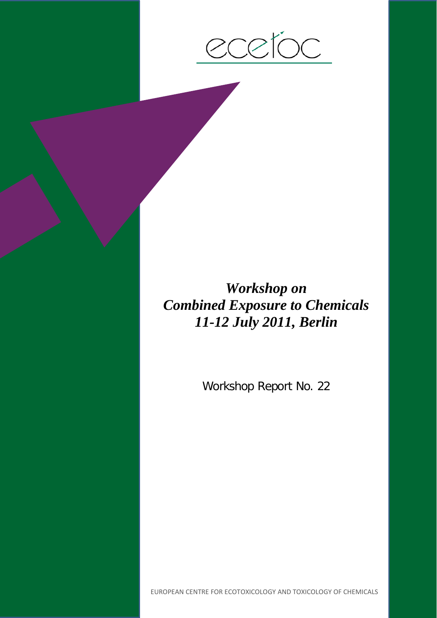

# *Workshop on Combined Exposure to Chemicals 11-12 July 2011, Berlin*

Workshop Report No. 22

EUROPEAN CENTRE FOR ECOTOXICOLOGY AND TOXICOLOGY OF CHEMICALS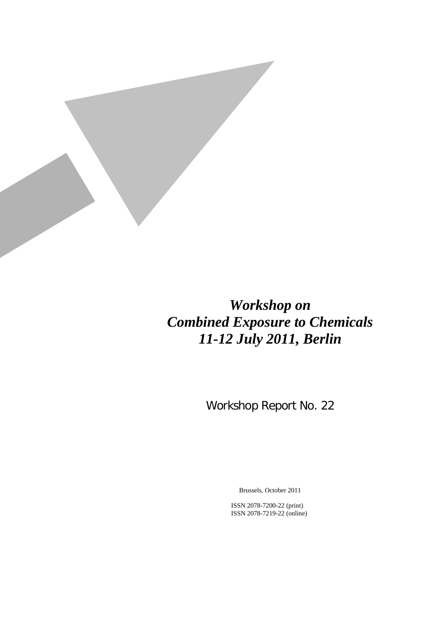

# *Workshop on Combined Exposure to Chemicals 11-12 July 2011, Berlin*

Workshop Report No. 22

Brussels, October 2011

ISSN 2078-7200-22 (print) ISSN 2078-7219-22 (online)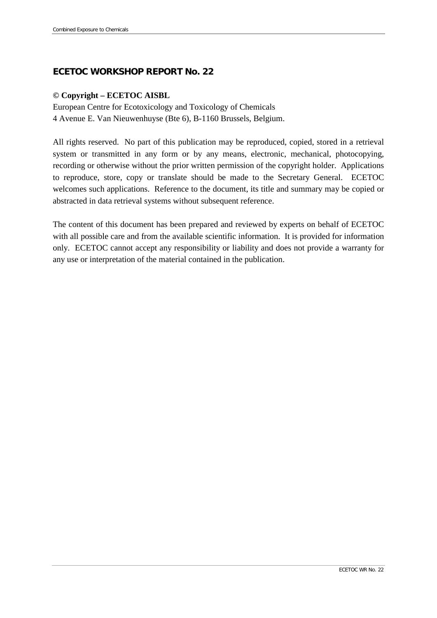# **ECETOC WORKSHOP REPORT No. 22**

#### **© Copyright – ECETOC AISBL**

European Centre for Ecotoxicology and Toxicology of Chemicals 4 Avenue E. Van Nieuwenhuyse (Bte 6), B-1160 Brussels, Belgium.

All rights reserved. No part of this publication may be reproduced, copied, stored in a retrieval system or transmitted in any form or by any means, electronic, mechanical, photocopying, recording or otherwise without the prior written permission of the copyright holder. Applications to reproduce, store, copy or translate should be made to the Secretary General. ECETOC welcomes such applications. Reference to the document, its title and summary may be copied or abstracted in data retrieval systems without subsequent reference.

The content of this document has been prepared and reviewed by experts on behalf of ECETOC with all possible care and from the available scientific information. It is provided for information only. ECETOC cannot accept any responsibility or liability and does not provide a warranty for any use or interpretation of the material contained in the publication.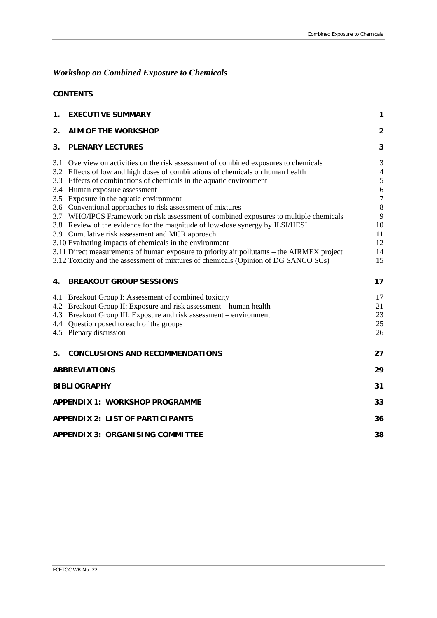# *Workshop on Combined Exposure to Chemicals*

### **CONTENTS**

| 1.                                      | <b>EXECUTIVE SUMMARY</b>                                                                   | 1                       |
|-----------------------------------------|--------------------------------------------------------------------------------------------|-------------------------|
| 2.                                      | <b>AIM OF THE WORKSHOP</b>                                                                 | $\overline{\mathbf{2}}$ |
| 3.                                      | <b>PLENARY LECTURES</b>                                                                    | 3                       |
|                                         | 3.1 Overview on activities on the risk assessment of combined exposures to chemicals       | 3                       |
|                                         | 3.2 Effects of low and high doses of combinations of chemicals on human health             | $\overline{4}$          |
|                                         | 3.3 Effects of combinations of chemicals in the aquatic environment                        | $\sqrt{5}$              |
|                                         | 3.4 Human exposure assessment                                                              | 6                       |
|                                         | 3.5 Exposure in the aquatic environment                                                    | $\boldsymbol{7}$        |
|                                         | 3.6 Conventional approaches to risk assessment of mixtures                                 | $\,8\,$                 |
|                                         | 3.7 WHO/IPCS Framework on risk assessment of combined exposures to multiple chemicals      | 9                       |
|                                         | 3.8 Review of the evidence for the magnitude of low-dose synergy by ILSI/HESI              | 10                      |
|                                         | 3.9 Cumulative risk assessment and MCR approach                                            | 11                      |
|                                         | 3.10 Evaluating impacts of chemicals in the environment                                    | 12                      |
|                                         | 3.11 Direct measurements of human exposure to priority air pollutants – the AIRMEX project | 14                      |
|                                         | 3.12 Toxicity and the assessment of mixtures of chemicals (Opinion of DG SANCO SCs)        | 15                      |
| 4.                                      | <b>BREAKOUT GROUP SESSIONS</b>                                                             | 17                      |
|                                         | 4.1 Breakout Group I: Assessment of combined toxicity                                      | 17                      |
|                                         | 4.2 Breakout Group II: Exposure and risk assessment – human health                         | 21                      |
|                                         | 4.3 Breakout Group III: Exposure and risk assessment – environment                         | 23                      |
|                                         | 4.4 Question posed to each of the groups                                                   | 25                      |
|                                         | 4.5 Plenary discussion                                                                     | 26                      |
| 5.                                      | <b>CONCLUSIONS AND RECOMMENDATIONS</b>                                                     | 27                      |
| <b>ABBREVIATIONS</b>                    |                                                                                            |                         |
| <b>BIBLIOGRAPHY</b>                     |                                                                                            |                         |
| <b>APPENDIX 1: WORKSHOP PROGRAMME</b>   |                                                                                            |                         |
| <b>APPENDIX 2: LIST OF PARTICIPANTS</b> |                                                                                            |                         |
| <b>APPENDIX 3: ORGANISING COMMITTEE</b> |                                                                                            |                         |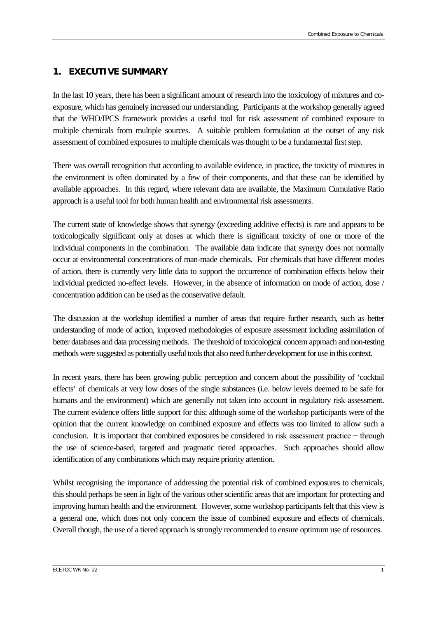# <span id="page-6-0"></span>**1. EXECUTIVE SUMMARY**

In the last 10 years, there has been a significant amount of research into the toxicology of mixtures and coexposure, which has genuinely increased our understanding. Participants at the workshop generally agreed that the WHO/IPCS framework provides a useful tool for risk assessment of combined exposure to multiple chemicals from multiple sources. A suitable problem formulation at the outset of any risk assessment of combined exposures to multiple chemicals was thought to be a fundamental first step.

There was overall recognition that according to available evidence, in practice, the toxicity of mixtures in the environment is often dominated by a few of their components, and that these can be identified by available approaches. In this regard, where relevant data are available, the Maximum Cumulative Ratio approach is a useful tool for both human health and environmental risk assessments.

The current state of knowledge shows that synergy (exceeding additive effects) is rare and appears to be toxicologically significant only at doses at which there is significant toxicity of one or more of the individual components in the combination. The available data indicate that synergy does not normally occur at environmental concentrations of man-made chemicals. For chemicals that have different modes of action, there is currently very little data to support the occurrence of combination effects below their individual predicted no-effect levels. However, in the absence of information on mode of action, dose / concentration addition can be used as the conservative default.

The discussion at the workshop identified a number of areas that require further research, such as better understanding of mode of action, improved methodologies of exposure assessment including assimilation of better databases and data processing methods. The threshold of toxicological concern approach and non-testing methods were suggested as potentially useful tools that also need further development for use in this context.

In recent years, there has been growing public perception and concern about the possibility of 'cocktail effects' of chemicals at very low doses of the single substances (i.e. below levels deemed to be safe for humans and the environment) which are generally not taken into account in regulatory risk assessment. The current evidence offers little support for this; although some of the workshop participants were of the opinion that the current knowledge on combined exposure and effects was too limited to allow such a conclusion. It is important that combined exposures be considered in risk assessment practice − through the use of science-based, targeted and pragmatic tiered approaches. Such approaches should allow identification of any combinations which may require priority attention.

Whilst recognising the importance of addressing the potential risk of combined exposures to chemicals, this should perhaps be seen in light of the various other scientific areas that are important for protecting and improving human health and the environment. However, some workshop participants felt that this view is a general one, which does not only concern the issue of combined exposure and effects of chemicals. Overall though, the use of a tiered approach is strongly recommended to ensure optimum use of resources.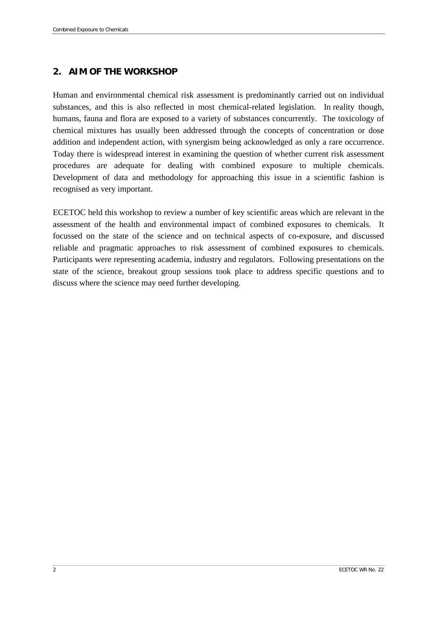# <span id="page-7-0"></span>**2. AIM OF THE WORKSHOP**

Human and environmental chemical risk assessment is predominantly carried out on individual substances, and this is also reflected in most chemical-related legislation. In reality though, humans, fauna and flora are exposed to a variety of substances concurrently. The toxicology of chemical mixtures has usually been addressed through the concepts of concentration or dose addition and independent action, with synergism being acknowledged as only a rare occurrence. Today there is widespread interest in examining the question of whether current risk assessment procedures are adequate for dealing with combined exposure to multiple chemicals. Development of data and methodology for approaching this issue in a scientific fashion is recognised as very important.

ECETOC held this workshop to review a number of key scientific areas which are relevant in the assessment of the health and environmental impact of combined exposures to chemicals. It focussed on the state of the science and on technical aspects of co-exposure, and discussed reliable and pragmatic approaches to risk assessment of combined exposures to chemicals. Participants were representing academia, industry and regulators. Following presentations on the state of the science, breakout group sessions took place to address specific questions and to discuss where the science may need further developing.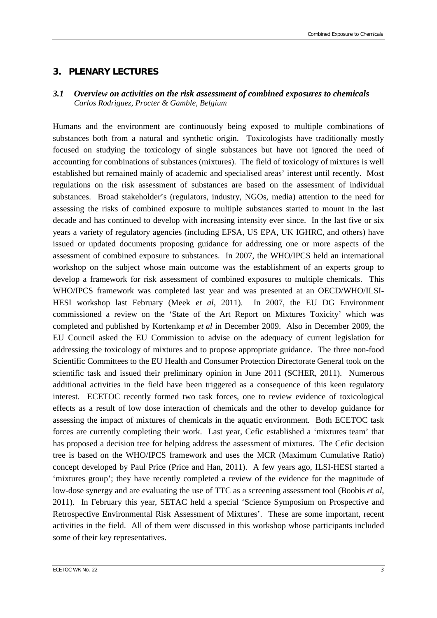#### <span id="page-8-0"></span>**3. PLENARY LECTURES**

#### <span id="page-8-1"></span>*3.1 Overview on activities on the risk assessment of combined exposures to chemicals Carlos Rodriguez, Procter & Gamble, Belgium*

Humans and the environment are continuously being exposed to multiple combinations of substances both from a natural and synthetic origin. Toxicologists have traditionally mostly focused on studying the toxicology of single substances but have not ignored the need of accounting for combinations of substances (mixtures). The field of toxicology of mixtures is well established but remained mainly of academic and specialised areas' interest until recently. Most regulations on the risk assessment of substances are based on the assessment of individual substances. Broad stakeholder's (regulators, industry, NGOs, media) attention to the need for assessing the risks of combined exposure to multiple substances started to mount in the last decade and has continued to develop with increasing intensity ever since. In the last five or six years a variety of regulatory agencies (including EFSA, US EPA, UK IGHRC, and others) have issued or updated documents proposing guidance for addressing one or more aspects of the assessment of combined exposure to substances. In 2007, the WHO/IPCS held an international workshop on the subject whose main outcome was the establishment of an experts group to develop a framework for risk assessment of combined exposures to multiple chemicals. This WHO/IPCS framework was completed last year and was presented at an OECD/WHO/ILSI-HESI workshop last February (Meek *et al*, 2011). In 2007, the EU DG Environment commissioned a review on the 'State of the Art Report on Mixtures Toxicity' which was completed and published by Kortenkamp *et al* in December 2009. Also in December 2009, the EU Council asked the EU Commission to advise on the adequacy of current legislation for addressing the toxicology of mixtures and to propose appropriate guidance. The three non-food Scientific Committees to the EU Health and Consumer Protection Directorate General took on the scientific task and issued their preliminary opinion in June 2011 (SCHER, 2011). Numerous additional activities in the field have been triggered as a consequence of this keen regulatory interest. ECETOC recently formed two task forces, one to review evidence of toxicological effects as a result of low dose interaction of chemicals and the other to develop guidance for assessing the impact of mixtures of chemicals in the aquatic environment. Both ECETOC task forces are currently completing their work. Last year, Cefic established a 'mixtures team' that has proposed a decision tree for helping address the assessment of mixtures. The Cefic decision tree is based on the WHO/IPCS framework and uses the MCR (Maximum Cumulative Ratio) concept developed by Paul Price (Price and Han, 2011). A few years ago, ILSI-HESI started a 'mixtures group'; they have recently completed a review of the evidence for the magnitude of low-dose synergy and are evaluating the use of TTC as a screening assessment tool (Boobis *et al*, 2011). In February this year, SETAC held a special 'Science Symposium on Prospective and Retrospective Environmental Risk Assessment of Mixtures'. These are some important, recent activities in the field. All of them were discussed in this workshop whose participants included some of their key representatives.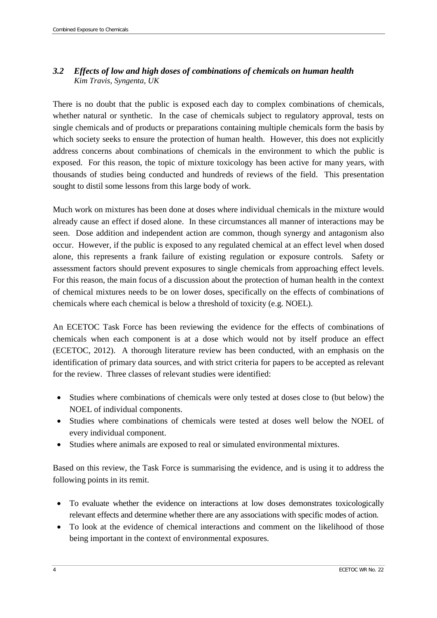# <span id="page-9-0"></span>*3.2 Effects of low and high doses of combinations of chemicals on human health Kim Travis, Syngenta, UK*

There is no doubt that the public is exposed each day to complex combinations of chemicals, whether natural or synthetic. In the case of chemicals subject to regulatory approval, tests on single chemicals and of products or preparations containing multiple chemicals form the basis by which society seeks to ensure the protection of human health. However, this does not explicitly address concerns about combinations of chemicals in the environment to which the public is exposed. For this reason, the topic of mixture toxicology has been active for many years, with thousands of studies being conducted and hundreds of reviews of the field. This presentation sought to distil some lessons from this large body of work.

Much work on mixtures has been done at doses where individual chemicals in the mixture would already cause an effect if dosed alone. In these circumstances all manner of interactions may be seen. Dose addition and independent action are common, though synergy and antagonism also occur. However, if the public is exposed to any regulated chemical at an effect level when dosed alone, this represents a frank failure of existing regulation or exposure controls. Safety or assessment factors should prevent exposures to single chemicals from approaching effect levels. For this reason, the main focus of a discussion about the protection of human health in the context of chemical mixtures needs to be on lower doses, specifically on the effects of combinations of chemicals where each chemical is below a threshold of toxicity (e.g. NOEL).

An ECETOC Task Force has been reviewing the evidence for the effects of combinations of chemicals when each component is at a dose which would not by itself produce an effect (ECETOC, 2012). A thorough literature review has been conducted, with an emphasis on the identification of primary data sources, and with strict criteria for papers to be accepted as relevant for the review. Three classes of relevant studies were identified:

- Studies where combinations of chemicals were only tested at doses close to (but below) the NOEL of individual components.
- Studies where combinations of chemicals were tested at doses well below the NOEL of every individual component.
- Studies where animals are exposed to real or simulated environmental mixtures.

Based on this review, the Task Force is summarising the evidence, and is using it to address the following points in its remit.

- To evaluate whether the evidence on interactions at low doses demonstrates toxicologically relevant effects and determine whether there are any associations with specific modes of action.
- To look at the evidence of chemical interactions and comment on the likelihood of those being important in the context of environmental exposures.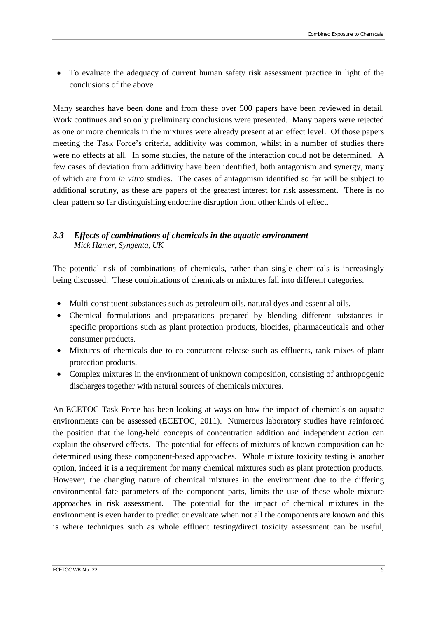• To evaluate the adequacy of current human safety risk assessment practice in light of the conclusions of the above.

Many searches have been done and from these over 500 papers have been reviewed in detail. Work continues and so only preliminary conclusions were presented. Many papers were rejected as one or more chemicals in the mixtures were already present at an effect level. Of those papers meeting the Task Force's criteria, additivity was common, whilst in a number of studies there were no effects at all. In some studies, the nature of the interaction could not be determined. A few cases of deviation from additivity have been identified, both antagonism and synergy, many of which are from *in vitro* studies. The cases of antagonism identified so far will be subject to additional scrutiny, as these are papers of the greatest interest for risk assessment. There is no clear pattern so far distinguishing endocrine disruption from other kinds of effect.

#### <span id="page-10-0"></span>*3.3 Effects of combinations of chemicals in the aquatic environment Mick Hamer, Syngenta, UK*

The potential risk of combinations of chemicals, rather than single chemicals is increasingly being discussed. These combinations of chemicals or mixtures fall into different categories.

- Multi-constituent substances such as petroleum oils, natural dyes and essential oils.
- Chemical formulations and preparations prepared by blending different substances in specific proportions such as plant protection products, biocides, pharmaceuticals and other consumer products.
- Mixtures of chemicals due to co-concurrent release such as effluents, tank mixes of plant protection products.
- Complex mixtures in the environment of unknown composition, consisting of anthropogenic discharges together with natural sources of chemicals mixtures.

An ECETOC Task Force has been looking at ways on how the impact of chemicals on aquatic environments can be assessed (ECETOC, 2011). Numerous laboratory studies have reinforced the position that the long-held concepts of concentration addition and independent action can explain the observed effects. The potential for effects of mixtures of known composition can be determined using these component-based approaches. Whole mixture toxicity testing is another option, indeed it is a requirement for many chemical mixtures such as plant protection products. However, the changing nature of chemical mixtures in the environment due to the differing environmental fate parameters of the component parts, limits the use of these whole mixture approaches in risk assessment. The potential for the impact of chemical mixtures in the environment is even harder to predict or evaluate when not all the components are known and this is where techniques such as whole effluent testing/direct toxicity assessment can be useful,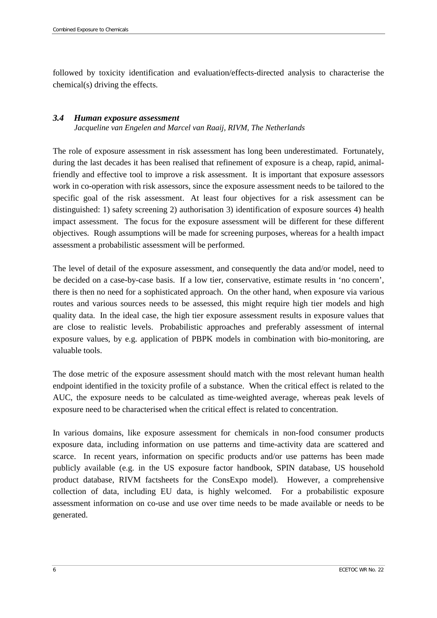followed by toxicity identification and evaluation/effects-directed analysis to characterise the chemical(s) driving the effects.

#### <span id="page-11-0"></span>*3.4 Human exposure assessment*

*Jacqueline van Engelen and Marcel van Raaij, RIVM, The Netherlands*

The role of exposure assessment in risk assessment has long been underestimated. Fortunately, during the last decades it has been realised that refinement of exposure is a cheap, rapid, animalfriendly and effective tool to improve a risk assessment. It is important that exposure assessors work in co-operation with risk assessors, since the exposure assessment needs to be tailored to the specific goal of the risk assessment. At least four objectives for a risk assessment can be distinguished: 1) safety screening 2) authorisation 3) identification of exposure sources 4) health impact assessment. The focus for the exposure assessment will be different for these different objectives. Rough assumptions will be made for screening purposes, whereas for a health impact assessment a probabilistic assessment will be performed.

The level of detail of the exposure assessment, and consequently the data and/or model, need to be decided on a case-by-case basis. If a low tier, conservative, estimate results in 'no concern', there is then no need for a sophisticated approach. On the other hand, when exposure via various routes and various sources needs to be assessed, this might require high tier models and high quality data. In the ideal case, the high tier exposure assessment results in exposure values that are close to realistic levels. Probabilistic approaches and preferably assessment of internal exposure values, by e.g. application of PBPK models in combination with bio-monitoring, are valuable tools.

The dose metric of the exposure assessment should match with the most relevant human health endpoint identified in the toxicity profile of a substance. When the critical effect is related to the AUC, the exposure needs to be calculated as time-weighted average, whereas peak levels of exposure need to be characterised when the critical effect is related to concentration.

In various domains, like exposure assessment for chemicals in non-food consumer products exposure data, including information on use patterns and time-activity data are scattered and scarce. In recent years, information on specific products and/or use patterns has been made publicly available (e.g. in the US exposure factor handbook, SPIN database, US household product database, RIVM factsheets for the ConsExpo model). However, a comprehensive collection of data, including EU data, is highly welcomed. For a probabilistic exposure assessment information on co-use and use over time needs to be made available or needs to be generated.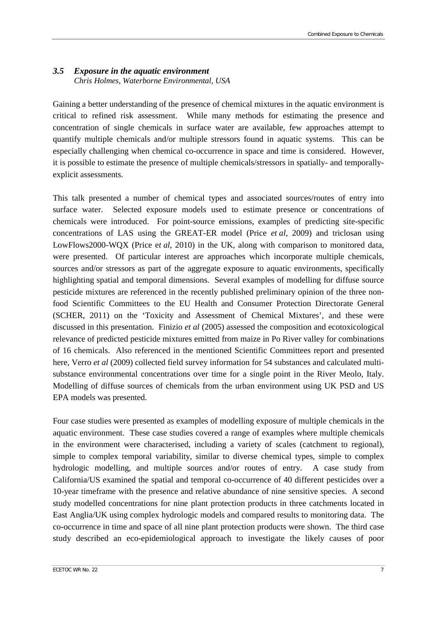### <span id="page-12-0"></span>*3.5 Exposure in the aquatic environment Chris Holmes, Waterborne Environmental, USA*

Gaining a better understanding of the presence of chemical mixtures in the aquatic environment is critical to refined risk assessment. While many methods for estimating the presence and concentration of single chemicals in surface water are available, few approaches attempt to quantify multiple chemicals and/or multiple stressors found in aquatic systems. This can be especially challenging when chemical co-occurrence in space and time is considered. However, it is possible to estimate the presence of multiple chemicals/stressors in spatially- and temporallyexplicit assessments.

This talk presented a number of chemical types and associated sources/routes of entry into surface water. Selected exposure models used to estimate presence or concentrations of chemicals were introduced. For point-source emissions, examples of predicting site-specific concentrations of LAS using the GREAT-ER model (Price *et al*, 2009) and triclosan using LowFlows2000-WQX (Price e*t al*, 2010) in the UK, along with comparison to monitored data, were presented. Of particular interest are approaches which incorporate multiple chemicals, sources and/or stressors as part of the aggregate exposure to aquatic environments, specifically highlighting spatial and temporal dimensions. Several examples of modelling for diffuse source pesticide mixtures are referenced in the recently published preliminary opinion of the three nonfood Scientific Committees to the EU Health and Consumer Protection Directorate General (SCHER, 2011) on the 'Toxicity and Assessment of Chemical Mixtures', and these were discussed in this presentation. Finizio *et al* (2005) assessed the composition and ecotoxicological relevance of predicted pesticide mixtures emitted from maize in Po River valley for combinations of 16 chemicals. Also referenced in the mentioned Scientific Committees report and presented here, Verro *et al* (2009) collected field survey information for 54 substances and calculated multisubstance environmental concentrations over time for a single point in the River Meolo, Italy. Modelling of diffuse sources of chemicals from the urban environment using UK PSD and US EPA models was presented.

Four case studies were presented as examples of modelling exposure of multiple chemicals in the aquatic environment. These case studies covered a range of examples where multiple chemicals in the environment were characterised, including a variety of scales (catchment to regional), simple to complex temporal variability, similar to diverse chemical types, simple to complex hydrologic modelling, and multiple sources and/or routes of entry. A case study from California/US examined the spatial and temporal co-occurrence of 40 different pesticides over a 10-year timeframe with the presence and relative abundance of nine sensitive species. A second study modelled concentrations for nine plant protection products in three catchments located in East Anglia/UK using complex hydrologic models and compared results to monitoring data. The co-occurrence in time and space of all nine plant protection products were shown. The third case study described an eco-epidemiological approach to investigate the likely causes of poor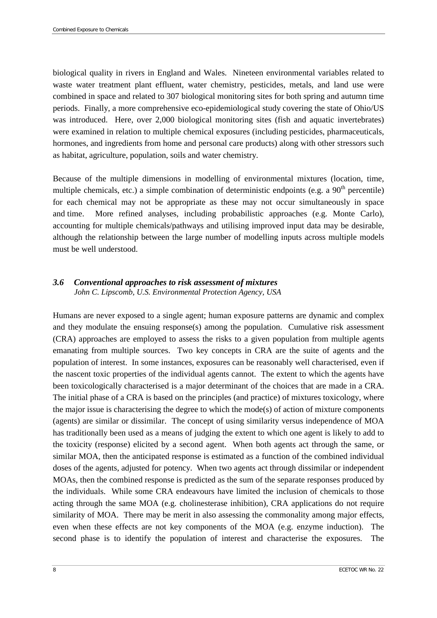biological quality in rivers in England and Wales. Nineteen environmental variables related to waste water treatment plant effluent, water chemistry, pesticides, metals, and land use were combined in space and related to 307 biological monitoring sites for both spring and autumn time periods. Finally, a more comprehensive eco-epidemiological study covering the state of Ohio/US was introduced. Here, over 2,000 biological monitoring sites (fish and aquatic invertebrates) were examined in relation to multiple chemical exposures (including pesticides, pharmaceuticals, hormones, and ingredients from home and personal care products) along with other stressors such as habitat, agriculture, population, soils and water chemistry.

Because of the multiple dimensions in modelling of environmental mixtures (location, time, multiple chemicals, etc.) a simple combination of deterministic endpoints (e.g. a  $90<sup>th</sup>$  percentile) for each chemical may not be appropriate as these may not occur simultaneously in space and time. More refined analyses, including probabilistic approaches (e.g. Monte Carlo), accounting for multiple chemicals/pathways and utilising improved input data may be desirable, although the relationship between the large number of modelling inputs across multiple models must be well understood.

#### <span id="page-13-0"></span>*3.6 Conventional approaches to risk assessment of mixtures John C. Lipscomb, U.S. Environmental Protection Agency, USA*

Humans are never exposed to a single agent; human exposure patterns are dynamic and complex and they modulate the ensuing response(s) among the population. Cumulative risk assessment (CRA) approaches are employed to assess the risks to a given population from multiple agents emanating from multiple sources. Two key concepts in CRA are the suite of agents and the population of interest. In some instances, exposures can be reasonably well characterised, even if the nascent toxic properties of the individual agents cannot. The extent to which the agents have been toxicologically characterised is a major determinant of the choices that are made in a CRA. The initial phase of a CRA is based on the principles (and practice) of mixtures toxicology, where the major issue is characterising the degree to which the mode(s) of action of mixture components (agents) are similar or dissimilar. The concept of using similarity versus independence of MOA has traditionally been used as a means of judging the extent to which one agent is likely to add to the toxicity (response) elicited by a second agent. When both agents act through the same, or similar MOA, then the anticipated response is estimated as a function of the combined individual doses of the agents, adjusted for potency. When two agents act through dissimilar or independent MOAs, then the combined response is predicted as the sum of the separate responses produced by the individuals. While some CRA endeavours have limited the inclusion of chemicals to those acting through the same MOA (e.g. cholinesterase inhibition), CRA applications do not require similarity of MOA. There may be merit in also assessing the commonality among major effects, even when these effects are not key components of the MOA (e.g. enzyme induction). The second phase is to identify the population of interest and characterise the exposures. The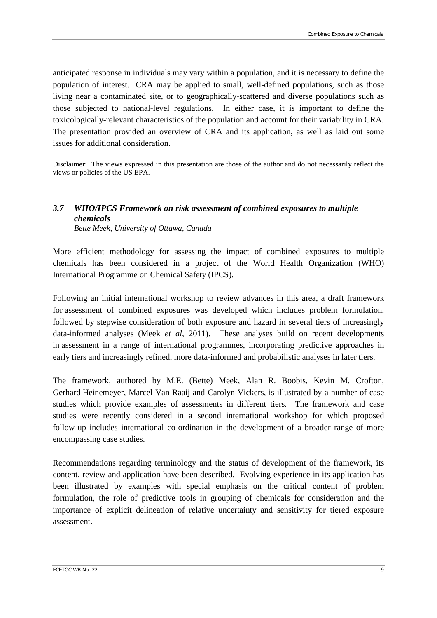anticipated response in individuals may vary within a population, and it is necessary to define the population of interest. CRA may be applied to small, well-defined populations, such as those living near a contaminated site, or to geographically-scattered and diverse populations such as those subjected to national-level regulations. In either case, it is important to define the toxicologically-relevant characteristics of the population and account for their variability in CRA. The presentation provided an overview of CRA and its application, as well as laid out some issues for additional consideration.

Disclaimer: The views expressed in this presentation are those of the author and do not necessarily reflect the views or policies of the US EPA.

#### <span id="page-14-0"></span>*3.7 WHO/IPCS Framework on risk assessment of combined exposures to multiple chemicals Bette Meek, University of Ottawa, Canada*

More efficient methodology for assessing the impact of combined exposures to multiple chemicals has been considered in a project of the World Health Organization (WHO) International Programme on Chemical Safety (IPCS).

Following an initial international workshop to review advances in this area, a draft framework for assessment of combined exposures was developed which includes problem formulation, followed by stepwise consideration of both exposure and hazard in several tiers of increasingly data-informed analyses (Meek *et al*, 2011). These analyses build on recent developments in assessment in a range of international programmes, incorporating predictive approaches in early tiers and increasingly refined, more data-informed and probabilistic analyses in later tiers.

The framework, authored by M.E. (Bette) Meek, Alan R. Boobis, Kevin M. Crofton, Gerhard Heinemeyer, Marcel Van Raaij and Carolyn Vickers, is illustrated by a number of case studies which provide examples of assessments in different tiers. The framework and case studies were recently considered in a second international workshop for which proposed follow-up includes international co-ordination in the development of a broader range of more encompassing case studies.

Recommendations regarding terminology and the status of development of the framework, its content, review and application have been described. Evolving experience in its application has been illustrated by examples with special emphasis on the critical content of problem formulation, the role of predictive tools in grouping of chemicals for consideration and the importance of explicit delineation of relative uncertainty and sensitivity for tiered exposure assessment.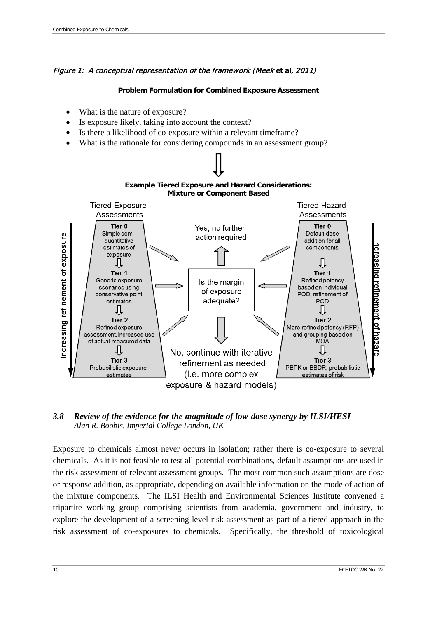#### Figure 1: A conceptual representation of the framework (Meek **et al**, 2011)

#### **Problem Formulation for Combined Exposure Assessment**

- What is the nature of exposure?
- Is exposure likely, taking into account the context?
- Is there a likelihood of co-exposure within a relevant timeframe?
- What is the rationale for considering compounds in an assessment group?



#### <span id="page-15-0"></span>*3.8 Review of the evidence for the magnitude of low-dose synergy by ILSI/HESI Alan R. Boobis, Imperial College London, UK*

Exposure to chemicals almost never occurs in isolation; rather there is co-exposure to several chemicals. As it is not feasible to test all potential combinations, default assumptions are used in the risk assessment of relevant assessment groups. The most common such assumptions are dose or response addition, as appropriate, depending on available information on the mode of action of the mixture components. The ILSI Health and Environmental Sciences Institute convened a tripartite working group comprising scientists from academia, government and industry, to explore the development of a screening level risk assessment as part of a tiered approach in the risk assessment of co-exposures to chemicals. Specifically, the threshold of toxicological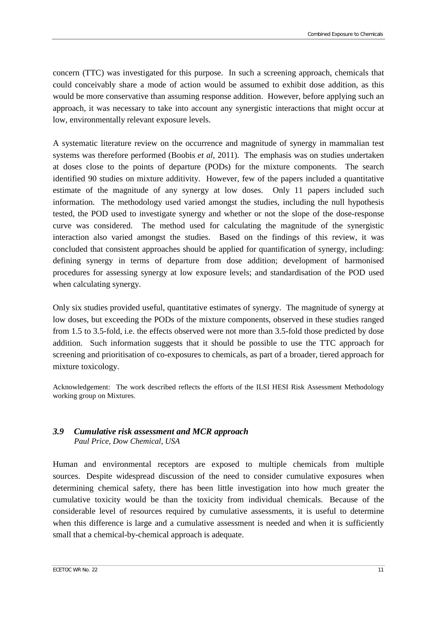concern (TTC) was investigated for this purpose. In such a screening approach, chemicals that could conceivably share a mode of action would be assumed to exhibit dose addition, as this would be more conservative than assuming response addition. However, before applying such an approach, it was necessary to take into account any synergistic interactions that might occur at low, environmentally relevant exposure levels.

A systematic literature review on the occurrence and magnitude of synergy in mammalian test systems was therefore performed (Boobis *et al*, 2011). The emphasis was on studies undertaken at doses close to the points of departure (PODs) for the mixture components. The search identified 90 studies on mixture additivity. However, few of the papers included a quantitative estimate of the magnitude of any synergy at low doses. Only 11 papers included such information. The methodology used varied amongst the studies, including the null hypothesis tested, the POD used to investigate synergy and whether or not the slope of the dose-response curve was considered. The method used for calculating the magnitude of the synergistic interaction also varied amongst the studies. Based on the findings of this review, it was concluded that consistent approaches should be applied for quantification of synergy, including: defining synergy in terms of departure from dose addition; development of harmonised procedures for assessing synergy at low exposure levels; and standardisation of the POD used when calculating synergy.

Only six studies provided useful, quantitative estimates of synergy. The magnitude of synergy at low doses, but exceeding the PODs of the mixture components, observed in these studies ranged from 1.5 to 3.5-fold, i.e. the effects observed were not more than 3.5-fold those predicted by dose addition. Such information suggests that it should be possible to use the TTC approach for screening and prioritisation of co-exposures to chemicals, as part of a broader, tiered approach for mixture toxicology.

Acknowledgement: The work described reflects the efforts of the ILSI HESI Risk Assessment Methodology working group on Mixtures.

### <span id="page-16-0"></span>*3.9 Cumulative risk assessment and MCR approach Paul Price, Dow Chemical, USA*

Human and environmental receptors are exposed to multiple chemicals from multiple sources. Despite widespread discussion of the need to consider cumulative exposures when determining chemical safety, there has been little investigation into how much greater the cumulative toxicity would be than the toxicity from individual chemicals. Because of the considerable level of resources required by cumulative assessments, it is useful to determine when this difference is large and a cumulative assessment is needed and when it is sufficiently small that a chemical-by-chemical approach is adequate.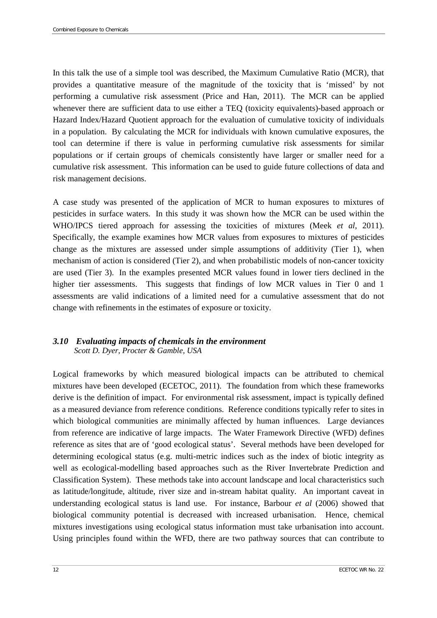In this talk the use of a simple tool was described, the Maximum Cumulative Ratio (MCR), that provides a quantitative measure of the magnitude of the toxicity that is 'missed' by not performing a cumulative risk assessment (Price and Han, 2011). The MCR can be applied whenever there are sufficient data to use either a TEQ (toxicity equivalents)-based approach or Hazard Index/Hazard Quotient approach for the evaluation of cumulative toxicity of individuals in a population. By calculating the MCR for individuals with known cumulative exposures, the tool can determine if there is value in performing cumulative risk assessments for similar populations or if certain groups of chemicals consistently have larger or smaller need for a cumulative risk assessment. This information can be used to guide future collections of data and risk management decisions.

A case study was presented of the application of MCR to human exposures to mixtures of pesticides in surface waters. In this study it was shown how the MCR can be used within the WHO/IPCS tiered approach for assessing the toxicities of mixtures (Meek *et al*, 2011). Specifically, the example examines how MCR values from exposures to mixtures of pesticides change as the mixtures are assessed under simple assumptions of additivity (Tier 1), when mechanism of action is considered (Tier 2), and when probabilistic models of non-cancer toxicity are used (Tier 3). In the examples presented MCR values found in lower tiers declined in the higher tier assessments. This suggests that findings of low MCR values in Tier 0 and 1 assessments are valid indications of a limited need for a cumulative assessment that do not change with refinements in the estimates of exposure or toxicity.

#### <span id="page-17-0"></span>*3.10 Evaluating impacts of chemicals in the environment Scott D. Dyer, Procter & Gamble, USA*

Logical frameworks by which measured biological impacts can be attributed to chemical mixtures have been developed (ECETOC, 2011). The foundation from which these frameworks derive is the definition of impact. For environmental risk assessment, impact is typically defined as a measured deviance from reference conditions. Reference conditions typically refer to sites in which biological communities are minimally affected by human influences. Large deviances from reference are indicative of large impacts. The Water Framework Directive (WFD) defines reference as sites that are of 'good ecological status'. Several methods have been developed for determining ecological status (e.g. multi-metric indices such as the index of biotic integrity as well as ecological-modelling based approaches such as the River Invertebrate Prediction and Classification System). These methods take into account landscape and local characteristics such as latitude/longitude, altitude, river size and in-stream habitat quality. An important caveat in understanding ecological status is land use. For instance, Barbour *et al* (2006) showed that biological community potential is decreased with increased urbanisation. Hence, chemical mixtures investigations using ecological status information must take urbanisation into account. Using principles found within the WFD, there are two pathway sources that can contribute to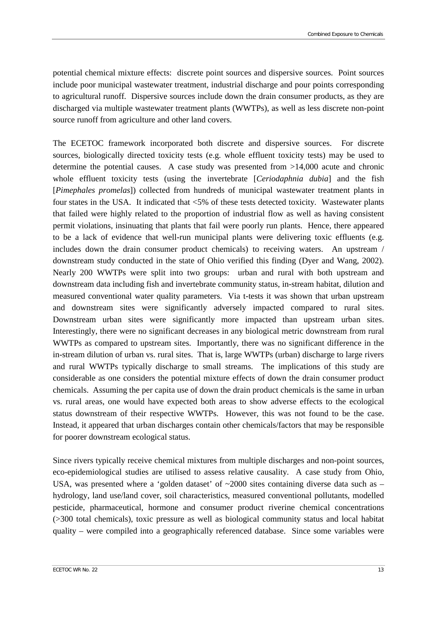potential chemical mixture effects: discrete point sources and dispersive sources. Point sources include poor municipal wastewater treatment, industrial discharge and pour points corresponding to agricultural runoff. Dispersive sources include down the drain consumer products, as they are discharged via multiple wastewater treatment plants (WWTPs), as well as less discrete non-point source runoff from agriculture and other land covers.

The ECETOC framework incorporated both discrete and dispersive sources. For discrete sources, biologically directed toxicity tests (e.g. whole effluent toxicity tests) may be used to determine the potential causes. A case study was presented from >14,000 acute and chronic whole effluent toxicity tests (using the invertebrate [*Ceriodaphnia dubia*] and the fish [*Pimephales promelas*]) collected from hundreds of municipal wastewater treatment plants in four states in the USA. It indicated that <5% of these tests detected toxicity. Wastewater plants that failed were highly related to the proportion of industrial flow as well as having consistent permit violations, insinuating that plants that fail were poorly run plants. Hence, there appeared to be a lack of evidence that well-run municipal plants were delivering toxic effluents (e.g. includes down the drain consumer product chemicals) to receiving waters. An upstream / downstream study conducted in the state of Ohio verified this finding (Dyer and Wang, 2002). Nearly 200 WWTPs were split into two groups: urban and rural with both upstream and downstream data including fish and invertebrate community status, in-stream habitat, dilution and measured conventional water quality parameters. Via t-tests it was shown that urban upstream and downstream sites were significantly adversely impacted compared to rural sites. Downstream urban sites were significantly more impacted than upstream urban sites. Interestingly, there were no significant decreases in any biological metric downstream from rural WWTPs as compared to upstream sites. Importantly, there was no significant difference in the in-stream dilution of urban vs. rural sites. That is, large WWTPs (urban) discharge to large rivers and rural WWTPs typically discharge to small streams. The implications of this study are considerable as one considers the potential mixture effects of down the drain consumer product chemicals. Assuming the per capita use of down the drain product chemicals is the same in urban vs. rural areas, one would have expected both areas to show adverse effects to the ecological status downstream of their respective WWTPs. However, this was not found to be the case. Instead, it appeared that urban discharges contain other chemicals/factors that may be responsible for poorer downstream ecological status.

Since rivers typically receive chemical mixtures from multiple discharges and non-point sources, eco-epidemiological studies are utilised to assess relative causality. A case study from Ohio, USA, was presented where a 'golden dataset' of  $\sim$ 2000 sites containing diverse data such as – hydrology, land use/land cover, soil characteristics, measured conventional pollutants, modelled pesticide, pharmaceutical, hormone and consumer product riverine chemical concentrations (>300 total chemicals), toxic pressure as well as biological community status and local habitat quality – were compiled into a geographically referenced database. Since some variables were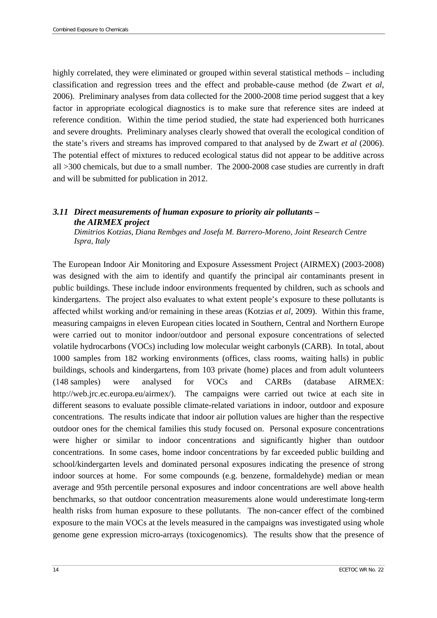highly correlated, they were eliminated or grouped within several statistical methods – including classification and regression trees and the effect and probable-cause method (de Zwart *et al*, 2006). Preliminary analyses from data collected for the 2000-2008 time period suggest that a key factor in appropriate ecological diagnostics is to make sure that reference sites are indeed at reference condition. Within the time period studied, the state had experienced both hurricanes and severe droughts. Preliminary analyses clearly showed that overall the ecological condition of the state's rivers and streams has improved compared to that analysed by de Zwart *et al* (2006). The potential effect of mixtures to reduced ecological status did not appear to be additive across all >300 chemicals, but due to a small number. The 2000-2008 case studies are currently in draft and will be submitted for publication in 2012.

### <span id="page-19-0"></span>*3.11 Direct measurements of human exposure to priority air pollutants – the AIRMEX project*

*Dimitrios Kotzias, Diana Rembges and Josefa M. Barrero-Moreno, Joint Research Centre Ispra, Italy*

The European Indoor Air Monitoring and Exposure Assessment Project (AIRMEX) (2003-2008) was designed with the aim to identify and quantify the principal air contaminants present in public buildings. These include indoor environments frequented by children, such as schools and kindergartens. The project also evaluates to what extent people's exposure to these pollutants is affected whilst working and/or remaining in these areas (Kotzias *et al*, 2009). Within this frame, measuring campaigns in eleven European cities located in Southern, Central and Northern Europe were carried out to monitor indoor/outdoor and personal exposure concentrations of selected volatile hydrocarbons (VOCs) including low molecular weight carbonyls (CARB). In total, about 1000 samples from 182 working environments (offices, class rooms, waiting halls) in public buildings, schools and kindergartens, from 103 private (home) places and from adult volunteers (148 samples) were analysed for VOCs and CARBs (database AIRMEX: [http://web.jrc.ec.europa.eu/airmex/\)](http://web.jrc.ec.europa.eu/airmex/). The campaigns were carried out twice at each site in different seasons to evaluate possible climate-related variations in indoor, outdoor and exposure concentrations. The results indicate that indoor air pollution values are higher than the respective outdoor ones for the chemical families this study focused on. Personal exposure concentrations were higher or similar to indoor concentrations and significantly higher than outdoor concentrations. In some cases, home indoor concentrations by far exceeded public building and school/kindergarten levels and dominated personal exposures indicating the presence of strong indoor sources at home. For some compounds (e.g. benzene, formaldehyde) median or mean average and 95th percentile personal exposures and indoor concentrations are well above health benchmarks, so that outdoor concentration measurements alone would underestimate long-term health risks from human exposure to these pollutants. The non-cancer effect of the combined exposure to the main VOCs at the levels measured in the campaigns was investigated using whole genome gene expression micro-arrays (toxicogenomics). The results show that the presence of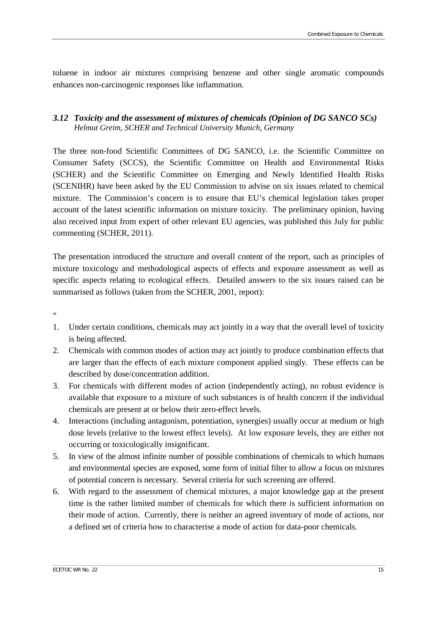toluene in indoor air mixtures comprising benzene and other single aromatic compounds enhances non-carcinogenic responses like inflammation.

#### <span id="page-20-0"></span>*3.12 Toxicity and the assessment of mixtures of chemicals (Opinion of DG SANCO SCs) Helmut Greim, SCHER and Technical University Munich, Germany*

The three non-food Scientific Committees of DG SANCO, i.e. the Scientific Committee on Consumer Safety (SCCS), the Scientific Committee on Health and Environmental Risks (SCHER) and the Scientific Committee on Emerging and Newly Identified Health Risks (SCENIHR) have been asked by the EU Commission to advise on six issues related to chemical mixture. The Commission's concern is to ensure that EU's chemical legislation takes proper account of the latest scientific information on mixture toxicity. The preliminary opinion, having also received input from expert of other relevant EU agencies, was published this July for public commenting (SCHER, 2011).

The presentation introduced the structure and overall content of the report, such as principles of mixture toxicology and methodological aspects of effects and exposure assessment as well as specific aspects relating to ecological effects. Detailed answers to the six issues raised can be summarised as follows (taken from the SCHER, 2001, report):

 $\overline{a}$ 

- 1. Under certain conditions, chemicals may act jointly in a way that the overall level of toxicity is being affected.
- 2. Chemicals with common modes of action may act jointly to produce combination effects that are larger than the effects of each mixture component applied singly. These effects can be described by dose/concentration addition.
- 3. For chemicals with different modes of action (independently acting), no robust evidence is available that exposure to a mixture of such substances is of health concern if the individual chemicals are present at or below their zero-effect levels.
- 4. Interactions (including antagonism, potentiation, synergies) usually occur at medium or high dose levels (relative to the lowest effect levels). At low exposure levels, they are either not occurring or toxicologically insignificant.
- 5. In view of the almost infinite number of possible combinations of chemicals to which humans and environmental species are exposed, some form of initial filter to allow a focus on mixtures of potential concern is necessary. Several criteria for such screening are offered.
- 6. With regard to the assessment of chemical mixtures, a major knowledge gap at the present time is the rather limited number of chemicals for which there is sufficient information on their mode of action. Currently, there is neither an agreed inventory of mode of actions, nor a defined set of criteria how to characterise a mode of action for data-poor chemicals.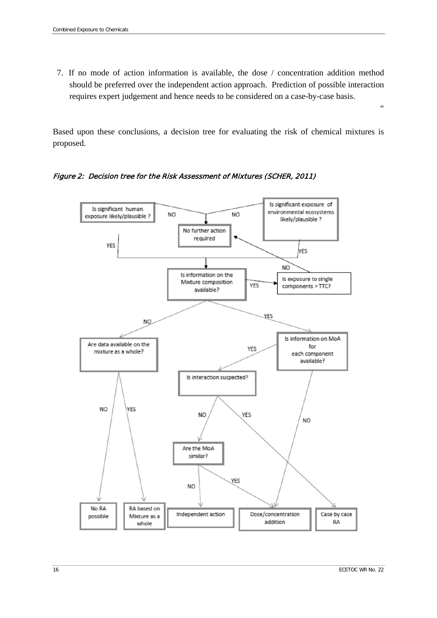7. If no mode of action information is available, the dose / concentration addition method should be preferred over the independent action approach. Prediction of possible interaction requires expert judgement and hence needs to be considered on a case-by-case basis.

Based upon these conclusions, a decision tree for evaluating the risk of chemical mixtures is proposed.

Figure 2: Decision tree for the Risk Assessment of Mixtures (SCHER, 2011)



 $\epsilon$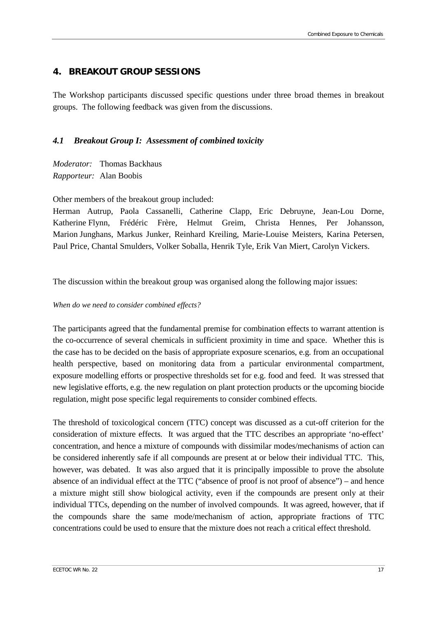## <span id="page-22-0"></span>**4. BREAKOUT GROUP SESSIONS**

The Workshop participants discussed specific questions under three broad themes in breakout groups. The following feedback was given from the discussions.

#### <span id="page-22-1"></span>*4.1 Breakout Group I: Assessment of combined toxicity*

*Moderator:* Thomas Backhaus *Rapporteur:* Alan Boobis

Other members of the breakout group included:

Herman Autrup, Paola Cassanelli, Catherine Clapp, Eric Debruyne, Jean-Lou Dorne, Katherine Flynn, Frédéric Frère, Helmut Greim, Christa Hennes, Per Johansson, Marion Junghans, Markus Junker, Reinhard Kreiling, Marie-Louise Meisters, Karina Petersen, Paul Price, Chantal Smulders, Volker Soballa, Henrik Tyle, Erik Van Miert, Carolyn Vickers.

The discussion within the breakout group was organised along the following major issues:

#### *When do we need to consider combined effects?*

The participants agreed that the fundamental premise for combination effects to warrant attention is the co-occurrence of several chemicals in sufficient proximity in time and space. Whether this is the case has to be decided on the basis of appropriate exposure scenarios, e.g. from an occupational health perspective, based on monitoring data from a particular environmental compartment, exposure modelling efforts or prospective thresholds set for e.g. food and feed. It was stressed that new legislative efforts, e.g. the new regulation on plant protection products or the upcoming biocide regulation, might pose specific legal requirements to consider combined effects.

The threshold of toxicological concern (TTC) concept was discussed as a cut-off criterion for the consideration of mixture effects. It was argued that the TTC describes an appropriate 'no-effect' concentration, and hence a mixture of compounds with dissimilar modes/mechanisms of action can be considered inherently safe if all compounds are present at or below their individual TTC. This, however, was debated. It was also argued that it is principally impossible to prove the absolute absence of an individual effect at the TTC ("absence of proof is not proof of absence") – and hence a mixture might still show biological activity, even if the compounds are present only at their individual TTCs, depending on the number of involved compounds. It was agreed, however, that if the compounds share the same mode/mechanism of action, appropriate fractions of TTC concentrations could be used to ensure that the mixture does not reach a critical effect threshold.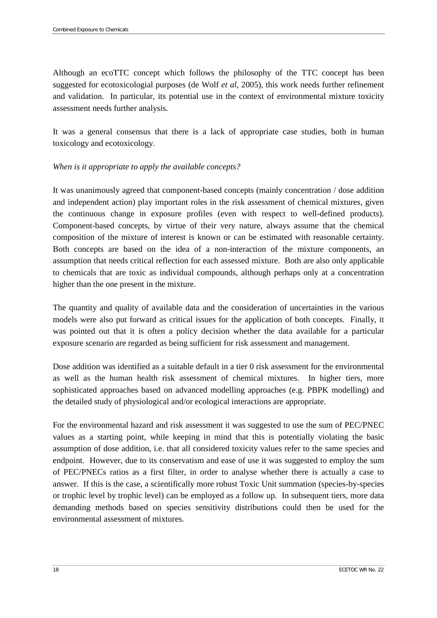Although an ecoTTC concept which follows the philosophy of the TTC concept has been suggested for ecotoxicologial purposes (de Wolf *et al*, 2005), this work needs further refinement and validation. In particular, its potential use in the context of environmental mixture toxicity assessment needs further analysis.

It was a general consensus that there is a lack of appropriate case studies, both in human toxicology and ecotoxicology.

#### *When is it appropriate to apply the available concepts?*

It was unanimously agreed that component-based concepts (mainly concentration / dose addition and independent action) play important roles in the risk assessment of chemical mixtures, given the continuous change in exposure profiles (even with respect to well-defined products). Component-based concepts, by virtue of their very nature, always assume that the chemical composition of the mixture of interest is known or can be estimated with reasonable certainty. Both concepts are based on the idea of a non-interaction of the mixture components, an assumption that needs critical reflection for each assessed mixture. Both are also only applicable to chemicals that are toxic as individual compounds, although perhaps only at a concentration higher than the one present in the mixture.

The quantity and quality of available data and the consideration of uncertainties in the various models were also put forward as critical issues for the application of both concepts. Finally, it was pointed out that it is often a policy decision whether the data available for a particular exposure scenario are regarded as being sufficient for risk assessment and management.

Dose addition was identified as a suitable default in a tier 0 risk assessment for the environmental as well as the human health risk assessment of chemical mixtures. In higher tiers, more sophisticated approaches based on advanced modelling approaches (e.g. PBPK modelling) and the detailed study of physiological and/or ecological interactions are appropriate.

For the environmental hazard and risk assessment it was suggested to use the sum of PEC/PNEC values as a starting point, while keeping in mind that this is potentially violating the basic assumption of dose addition, i.e. that all considered toxicity values refer to the same species and endpoint. However, due to its conservatism and ease of use it was suggested to employ the sum of PEC/PNECs ratios as a first filter, in order to analyse whether there is actually a case to answer. If this is the case, a scientifically more robust Toxic Unit summation (species-by-species or trophic level by trophic level) can be employed as a follow up. In subsequent tiers, more data demanding methods based on species sensitivity distributions could then be used for the environmental assessment of mixtures.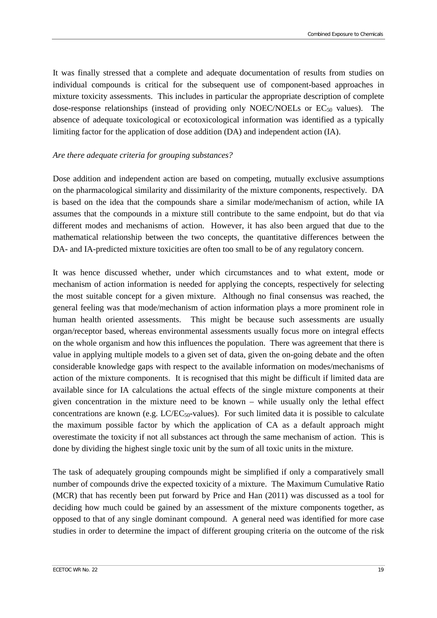It was finally stressed that a complete and adequate documentation of results from studies on individual compounds is critical for the subsequent use of component-based approaches in mixture toxicity assessments. This includes in particular the appropriate description of complete dose-response relationships (instead of providing only NOEC/NOELs or  $EC_{50}$  values). The absence of adequate toxicological or ecotoxicological information was identified as a typically limiting factor for the application of dose addition (DA) and independent action (IA).

#### *Are there adequate criteria for grouping substances?*

Dose addition and independent action are based on competing, mutually exclusive assumptions on the pharmacological similarity and dissimilarity of the mixture components, respectively. DA is based on the idea that the compounds share a similar mode/mechanism of action, while IA assumes that the compounds in a mixture still contribute to the same endpoint, but do that via different modes and mechanisms of action. However, it has also been argued that due to the mathematical relationship between the two concepts, the quantitative differences between the DA- and IA-predicted mixture toxicities are often too small to be of any regulatory concern.

It was hence discussed whether, under which circumstances and to what extent, mode or mechanism of action information is needed for applying the concepts, respectively for selecting the most suitable concept for a given mixture. Although no final consensus was reached, the general feeling was that mode/mechanism of action information plays a more prominent role in human health oriented assessments. This might be because such assessments are usually organ/receptor based, whereas environmental assessments usually focus more on integral effects on the whole organism and how this influences the population. There was agreement that there is value in applying multiple models to a given set of data, given the on-going debate and the often considerable knowledge gaps with respect to the available information on modes/mechanisms of action of the mixture components. It is recognised that this might be difficult if limited data are available since for IA calculations the actual effects of the single mixture components at their given concentration in the mixture need to be known – while usually only the lethal effect concentrations are known (e.g.  $LCEC_{50}$ -values). For such limited data it is possible to calculate the maximum possible factor by which the application of CA as a default approach might overestimate the toxicity if not all substances act through the same mechanism of action. This is done by dividing the highest single toxic unit by the sum of all toxic units in the mixture.

The task of adequately grouping compounds might be simplified if only a comparatively small number of compounds drive the expected toxicity of a mixture. The Maximum Cumulative Ratio (MCR) that has recently been put forward by Price and Han (2011) was discussed as a tool for deciding how much could be gained by an assessment of the mixture components together, as opposed to that of any single dominant compound. A general need was identified for more case studies in order to determine the impact of different grouping criteria on the outcome of the risk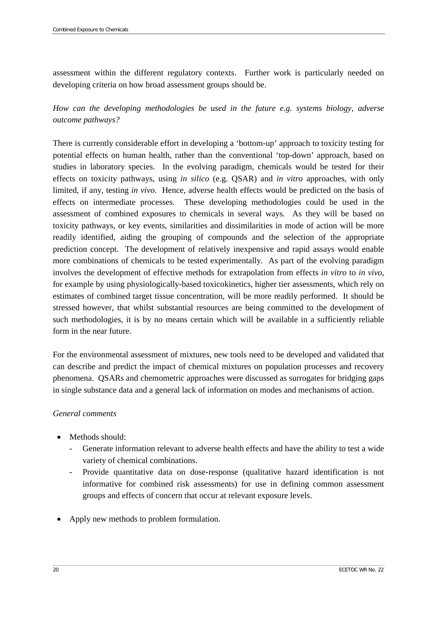assessment within the different regulatory contexts. Further work is particularly needed on developing criteria on how broad assessment groups should be.

*How can the developing methodologies be used in the future e.g. systems biology, adverse outcome pathways?* 

There is currently considerable effort in developing a 'bottom-up' approach to toxicity testing for potential effects on human health, rather than the conventional 'top-down' approach, based on studies in laboratory species. In the evolving paradigm, chemicals would be tested for their effects on toxicity pathways, using *in silico* (e.g. QSAR) and *in vitro* approaches, with only limited, if any, testing *in vivo*. Hence, adverse health effects would be predicted on the basis of effects on intermediate processes. These developing methodologies could be used in the assessment of combined exposures to chemicals in several ways. As they will be based on toxicity pathways, or key events, similarities and dissimilarities in mode of action will be more readily identified, aiding the grouping of compounds and the selection of the appropriate prediction concept. The development of relatively inexpensive and rapid assays would enable more combinations of chemicals to be tested experimentally. As part of the evolving paradigm involves the development of effective methods for extrapolation from effects *in vitro* to *in vivo*, for example by using physiologically-based toxicokinetics, higher tier assessments, which rely on estimates of combined target tissue concentration, will be more readily performed. It should be stressed however, that whilst substantial resources are being committed to the development of such methodologies, it is by no means certain which will be available in a sufficiently reliable form in the near future.

For the environmental assessment of mixtures, new tools need to be developed and validated that can describe and predict the impact of chemical mixtures on population processes and recovery phenomena. QSARs and chemometric approaches were discussed as surrogates for bridging gaps in single substance data and a general lack of information on modes and mechanisms of action.

#### *General comments*

- Methods should:
	- Generate information relevant to adverse health effects and have the ability to test a wide variety of chemical combinations.
	- Provide quantitative data on dose-response (qualitative hazard identification is not informative for combined risk assessments) for use in defining common assessment groups and effects of concern that occur at relevant exposure levels.
- Apply new methods to problem formulation.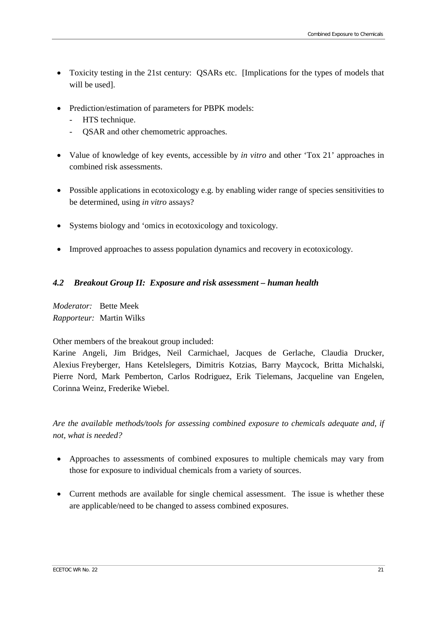- Toxicity testing in the 21st century: QSARs etc. [Implications for the types of models that will be used].
- Prediction/estimation of parameters for PBPK models:
	- HTS technique.
	- QSAR and other chemometric approaches.
- Value of knowledge of key events, accessible by *in vitro* and other 'Tox 21' approaches in combined risk assessments.
- Possible applications in ecotoxicology e.g. by enabling wider range of species sensitivities to be determined, using *in vitro* assays?
- Systems biology and 'omics in ecotoxicology and toxicology.
- Improved approaches to assess population dynamics and recovery in ecotoxicology.

#### <span id="page-26-0"></span>*4.2 Breakout Group II: Exposure and risk assessment – human health*

*Moderator:* Bette Meek *Rapporteur:* Martin Wilks

Other members of the breakout group included:

Karine Angeli, Jim Bridges, Neil Carmichael, Jacques de Gerlache, Claudia Drucker, Alexius Freyberger, Hans Ketelslegers, Dimitris Kotzias, Barry Maycock, Britta Michalski, Pierre Nord, Mark Pemberton, Carlos Rodriguez, Erik Tielemans, Jacqueline van Engelen, Corinna Weinz, Frederike Wiebel.

*Are the available methods/tools for assessing combined exposure to chemicals adequate and, if not, what is needed?* 

- Approaches to assessments of combined exposures to multiple chemicals may vary from those for exposure to individual chemicals from a variety of sources.
- Current methods are available for single chemical assessment. The issue is whether these are applicable/need to be changed to assess combined exposures.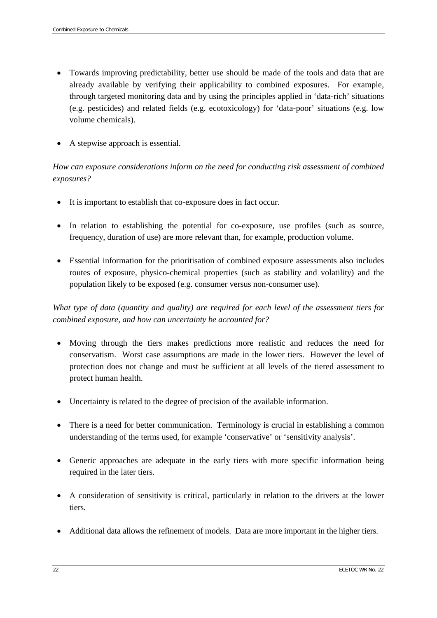- Towards improving predictability, better use should be made of the tools and data that are already available by verifying their applicability to combined exposures. For example, through targeted monitoring data and by using the principles applied in 'data-rich' situations (e.g. pesticides) and related fields (e.g. ecotoxicology) for 'data-poor' situations (e.g. low volume chemicals).
- A stepwise approach is essential.

# *How can exposure considerations inform on the need for conducting risk assessment of combined exposures?*

- It is important to establish that co-exposure does in fact occur.
- In relation to establishing the potential for co-exposure, use profiles (such as source, frequency, duration of use) are more relevant than, for example, production volume.
- Essential information for the prioritisation of combined exposure assessments also includes routes of exposure, physico-chemical properties (such as stability and volatility) and the population likely to be exposed (e.g. consumer versus non-consumer use).

# *What type of data (quantity and quality) are required for each level of the assessment tiers for combined exposure, and how can uncertainty be accounted for?*

- Moving through the tiers makes predictions more realistic and reduces the need for conservatism. Worst case assumptions are made in the lower tiers. However the level of protection does not change and must be sufficient at all levels of the tiered assessment to protect human health.
- Uncertainty is related to the degree of precision of the available information.
- There is a need for better communication. Terminology is crucial in establishing a common understanding of the terms used, for example 'conservative' or 'sensitivity analysis'.
- Generic approaches are adequate in the early tiers with more specific information being required in the later tiers.
- A consideration of sensitivity is critical, particularly in relation to the drivers at the lower tiers.
- Additional data allows the refinement of models. Data are more important in the higher tiers.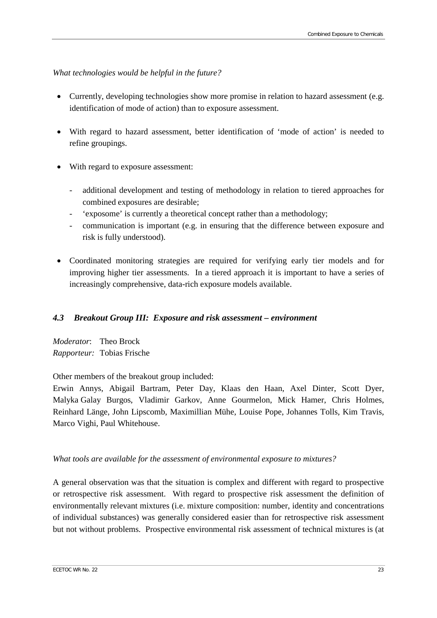#### *What technologies would be helpful in the future?*

- Currently, developing technologies show more promise in relation to hazard assessment (e.g. identification of mode of action) than to exposure assessment.
- With regard to hazard assessment, better identification of 'mode of action' is needed to refine groupings.
- With regard to exposure assessment:
	- additional development and testing of methodology in relation to tiered approaches for combined exposures are desirable;
	- 'exposome' is currently a theoretical concept rather than a methodology;
	- communication is important (e.g. in ensuring that the difference between exposure and risk is fully understood).
- Coordinated monitoring strategies are required for verifying early tier models and for improving higher tier assessments. In a tiered approach it is important to have a series of increasingly comprehensive, data-rich exposure models available.

#### <span id="page-28-0"></span>*4.3 Breakout Group III: Exposure and risk assessment – environment*

*Moderator*: Theo Brock *Rapporteur:* Tobias Frische

Other members of the breakout group included:

Erwin Annys, Abigail Bartram, Peter Day, Klaas den Haan, Axel Dinter, Scott Dyer, Malyka Galay Burgos, Vladimir Garkov, Anne Gourmelon, Mick Hamer, Chris Holmes, Reinhard Länge, John Lipscomb, Maximillian Mühe, Louise Pope, Johannes Tolls, Kim Travis, Marco Vighi, Paul Whitehouse.

#### *What tools are available for the assessment of environmental exposure to mixtures?*

A general observation was that the situation is complex and different with regard to prospective or retrospective risk assessment. With regard to prospective risk assessment the definition of environmentally relevant mixtures (i.e. mixture composition: number, identity and concentrations of individual substances) was generally considered easier than for retrospective risk assessment but not without problems. Prospective environmental risk assessment of technical mixtures is (at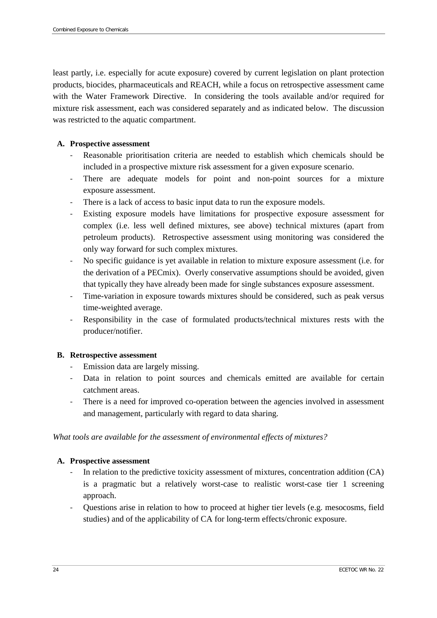least partly, i.e. especially for acute exposure) covered by current legislation on plant protection products, biocides, pharmaceuticals and REACH, while a focus on retrospective assessment came with the Water Framework Directive. In considering the tools available and/or required for mixture risk assessment, each was considered separately and as indicated below. The discussion was restricted to the aquatic compartment.

#### **A. Prospective assessment**

- Reasonable prioritisation criteria are needed to establish which chemicals should be included in a prospective mixture risk assessment for a given exposure scenario.
- There are adequate models for point and non-point sources for a mixture exposure assessment.
- There is a lack of access to basic input data to run the exposure models.
- Existing exposure models have limitations for prospective exposure assessment for complex (i.e. less well defined mixtures, see above) technical mixtures (apart from petroleum products). Retrospective assessment using monitoring was considered the only way forward for such complex mixtures.
- No specific guidance is yet available in relation to mixture exposure assessment (i.e. for the derivation of a PECmix). Overly conservative assumptions should be avoided, given that typically they have already been made for single substances exposure assessment.
- Time-variation in exposure towards mixtures should be considered, such as peak versus time-weighted average.
- Responsibility in the case of formulated products/technical mixtures rests with the producer/notifier.

#### **B. Retrospective assessment**

- Emission data are largely missing.
- Data in relation to point sources and chemicals emitted are available for certain catchment areas.
- There is a need for improved co-operation between the agencies involved in assessment and management, particularly with regard to data sharing.

*What tools are available for the assessment of environmental effects of mixtures?* 

#### **A. Prospective assessment**

- In relation to the predictive toxicity assessment of mixtures, concentration addition (CA) is a pragmatic but a relatively worst-case to realistic worst-case tier 1 screening approach.
- Questions arise in relation to how to proceed at higher tier levels (e.g. mesocosms, field studies) and of the applicability of CA for long-term effects/chronic exposure.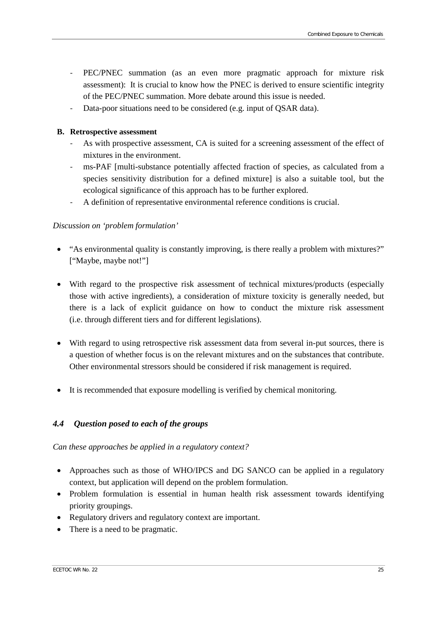- PEC/PNEC summation (as an even more pragmatic approach for mixture risk assessment): It is crucial to know how the PNEC is derived to ensure scientific integrity of the PEC/PNEC summation. More debate around this issue is needed.
- Data-poor situations need to be considered (e.g. input of QSAR data).

#### **B. Retrospective assessment**

- As with prospective assessment, CA is suited for a screening assessment of the effect of mixtures in the environment.
- ms-PAF [multi-substance potentially affected fraction of species, as calculated from a species sensitivity distribution for a defined mixture] is also a suitable tool, but the ecological significance of this approach has to be further explored.
- A definition of representative environmental reference conditions is crucial.

#### *Discussion on 'problem formulation'*

- "As environmental quality is constantly improving, is there really a problem with mixtures?" ["Maybe, maybe not!"]
- With regard to the prospective risk assessment of technical mixtures/products (especially those with active ingredients), a consideration of mixture toxicity is generally needed, but there is a lack of explicit guidance on how to conduct the mixture risk assessment (i.e. through different tiers and for different legislations).
- With regard to using retrospective risk assessment data from several in-put sources, there is a question of whether focus is on the relevant mixtures and on the substances that contribute. Other environmental stressors should be considered if risk management is required.
- It is recommended that exposure modelling is verified by chemical monitoring.

#### <span id="page-30-0"></span>*4.4 Question posed to each of the groups*

*Can these approaches be applied in a regulatory context?* 

- Approaches such as those of WHO/IPCS and DG SANCO can be applied in a regulatory context, but application will depend on the problem formulation.
- Problem formulation is essential in human health risk assessment towards identifying priority groupings.
- Regulatory drivers and regulatory context are important.
- There is a need to be pragmatic.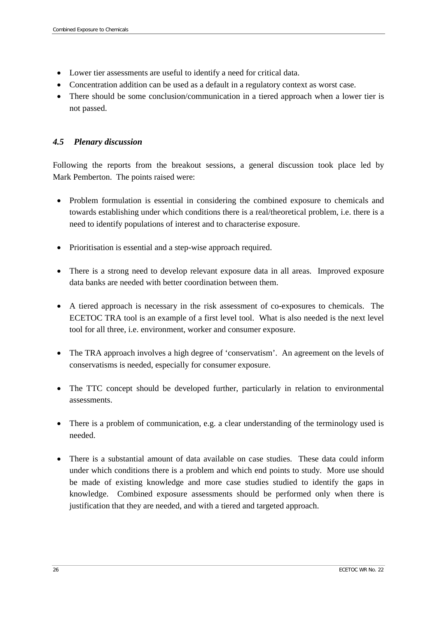- Lower tier assessments are useful to identify a need for critical data.
- Concentration addition can be used as a default in a regulatory context as worst case.
- There should be some conclusion/communication in a tiered approach when a lower tier is not passed.

### <span id="page-31-0"></span>*4.5 Plenary discussion*

Following the reports from the breakout sessions, a general discussion took place led by Mark Pemberton. The points raised were:

- Problem formulation is essential in considering the combined exposure to chemicals and towards establishing under which conditions there is a real/theoretical problem, i.e. there is a need to identify populations of interest and to characterise exposure.
- Prioritisation is essential and a step-wise approach required.
- There is a strong need to develop relevant exposure data in all areas. Improved exposure data banks are needed with better coordination between them.
- A tiered approach is necessary in the risk assessment of co-exposures to chemicals. The ECETOC TRA tool is an example of a first level tool. What is also needed is the next level tool for all three, i.e. environment, worker and consumer exposure.
- The TRA approach involves a high degree of 'conservatism'. An agreement on the levels of conservatisms is needed, especially for consumer exposure.
- The TTC concept should be developed further, particularly in relation to environmental assessments.
- There is a problem of communication, e.g. a clear understanding of the terminology used is needed.
- There is a substantial amount of data available on case studies. These data could inform under which conditions there is a problem and which end points to study. More use should be made of existing knowledge and more case studies studied to identify the gaps in knowledge. Combined exposure assessments should be performed only when there is justification that they are needed, and with a tiered and targeted approach.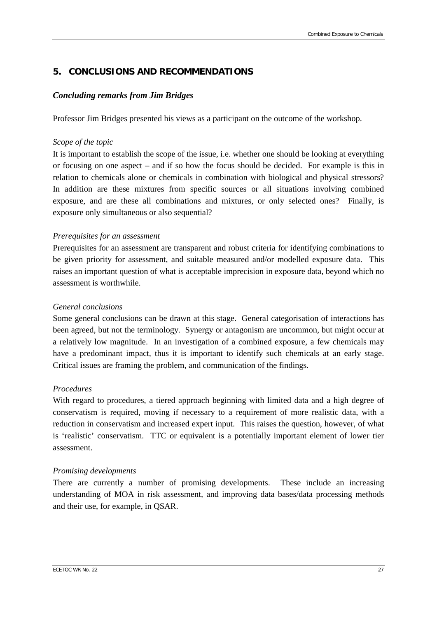## <span id="page-32-0"></span>**5. CONCLUSIONS AND RECOMMENDATIONS**

#### *Concluding remarks from Jim Bridges*

Professor Jim Bridges presented his views as a participant on the outcome of the workshop.

#### *Scope of the topic*

It is important to establish the scope of the issue, i.e. whether one should be looking at everything or focusing on one aspect – and if so how the focus should be decided. For example is this in relation to chemicals alone or chemicals in combination with biological and physical stressors? In addition are these mixtures from specific sources or all situations involving combined exposure, and are these all combinations and mixtures, or only selected ones? Finally, is exposure only simultaneous or also sequential?

#### *Prerequisites for an assessment*

Prerequisites for an assessment are transparent and robust criteria for identifying combinations to be given priority for assessment, and suitable measured and/or modelled exposure data. This raises an important question of what is acceptable imprecision in exposure data, beyond which no assessment is worthwhile.

#### *General conclusions*

Some general conclusions can be drawn at this stage. General categorisation of interactions has been agreed, but not the terminology. Synergy or antagonism are uncommon, but might occur at a relatively low magnitude. In an investigation of a combined exposure, a few chemicals may have a predominant impact, thus it is important to identify such chemicals at an early stage. Critical issues are framing the problem, and communication of the findings.

#### *Procedures*

With regard to procedures, a tiered approach beginning with limited data and a high degree of conservatism is required, moving if necessary to a requirement of more realistic data, with a reduction in conservatism and increased expert input. This raises the question, however, of what is 'realistic' conservatism. TTC or equivalent is a potentially important element of lower tier assessment.

#### *Promising developments*

There are currently a number of promising developments. These include an increasing understanding of MOA in risk assessment, and improving data bases/data processing methods and their use, for example, in QSAR.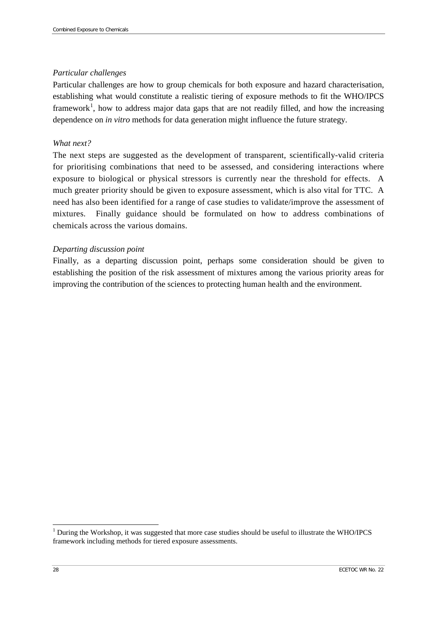#### *Particular challenges*

Particular challenges are how to group chemicals for both exposure and hazard characterisation, establishing what would constitute a realistic tiering of exposure methods to fit the WHO/IPCS framework<sup>[1](#page-33-0)</sup>, how to address major data gaps that are not readily filled, and how the increasing dependence on *in vitro* methods for data generation might influence the future strategy.

#### *What next?*

The next steps are suggested as the development of transparent, scientifically-valid criteria for prioritising combinations that need to be assessed, and considering interactions where exposure to biological or physical stressors is currently near the threshold for effects. A much greater priority should be given to exposure assessment, which is also vital for TTC. A need has also been identified for a range of case studies to validate/improve the assessment of mixtures. Finally guidance should be formulated on how to address combinations of chemicals across the various domains.

#### *Departing discussion point*

Finally, as a departing discussion point, perhaps some consideration should be given to establishing the position of the risk assessment of mixtures among the various priority areas for improving the contribution of the sciences to protecting human health and the environment.

<span id="page-33-0"></span><sup>&</sup>lt;sup>1</sup> During the Workshop, it was suggested that more case studies should be useful to illustrate the WHO/IPCS framework including methods for tiered exposure assessments.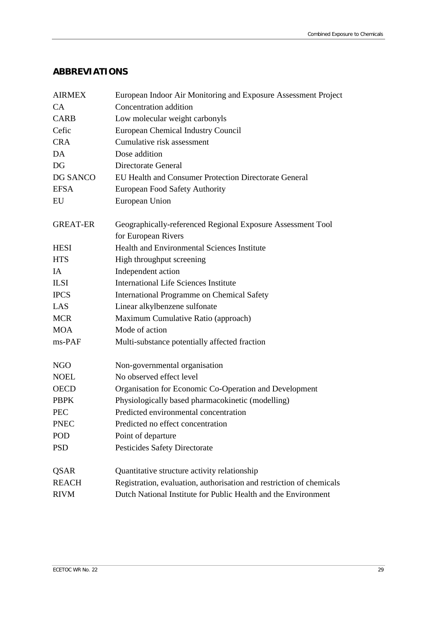## <span id="page-34-0"></span>**ABBREVIATIONS**

| <b>AIRMEX</b>   | European Indoor Air Monitoring and Exposure Assessment Project                     |  |  |
|-----------------|------------------------------------------------------------------------------------|--|--|
| <b>CA</b>       | Concentration addition                                                             |  |  |
| <b>CARB</b>     | Low molecular weight carbonyls                                                     |  |  |
| Cefic           | <b>European Chemical Industry Council</b>                                          |  |  |
| <b>CRA</b>      | Cumulative risk assessment                                                         |  |  |
| DA              | Dose addition                                                                      |  |  |
| <b>DG</b>       | Directorate General                                                                |  |  |
| DG SANCO        | EU Health and Consumer Protection Directorate General                              |  |  |
| <b>EFSA</b>     | <b>European Food Safety Authority</b>                                              |  |  |
| EU              | European Union                                                                     |  |  |
| <b>GREAT-ER</b> | Geographically-referenced Regional Exposure Assessment Tool<br>for European Rivers |  |  |
| <b>HESI</b>     | <b>Health and Environmental Sciences Institute</b>                                 |  |  |
| <b>HTS</b>      | High throughput screening                                                          |  |  |
| IA              | Independent action                                                                 |  |  |
| <b>ILSI</b>     | <b>International Life Sciences Institute</b>                                       |  |  |
| <b>IPCS</b>     | International Programme on Chemical Safety                                         |  |  |
| LAS             | Linear alkylbenzene sulfonate                                                      |  |  |
| <b>MCR</b>      | Maximum Cumulative Ratio (approach)                                                |  |  |
| <b>MOA</b>      | Mode of action                                                                     |  |  |
| ms-PAF          | Multi-substance potentially affected fraction                                      |  |  |
| <b>NGO</b>      | Non-governmental organisation                                                      |  |  |
| <b>NOEL</b>     | No observed effect level                                                           |  |  |
| <b>OECD</b>     | Organisation for Economic Co-Operation and Development                             |  |  |
| <b>PBPK</b>     | Physiologically based pharmacokinetic (modelling)                                  |  |  |
| <b>PEC</b>      | Predicted environmental concentration                                              |  |  |
| <b>PNEC</b>     | Predicted no effect concentration                                                  |  |  |
| <b>POD</b>      | Point of departure                                                                 |  |  |
| <b>PSD</b>      | Pesticides Safety Directorate                                                      |  |  |
| <b>QSAR</b>     | Quantitative structure activity relationship                                       |  |  |
| <b>REACH</b>    | Registration, evaluation, authorisation and restriction of chemicals               |  |  |
| <b>RIVM</b>     | Dutch National Institute for Public Health and the Environment                     |  |  |
|                 |                                                                                    |  |  |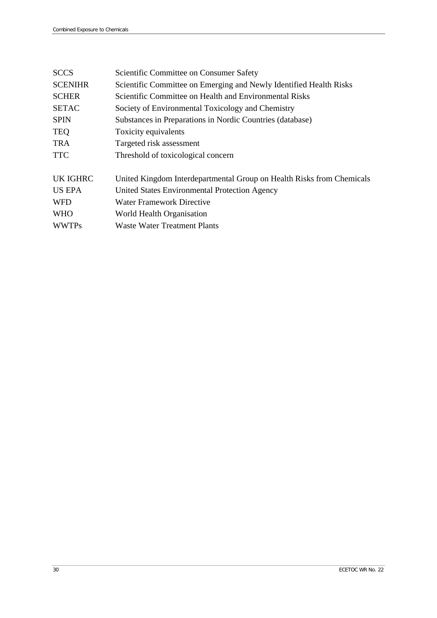| <b>SCCS</b>     | Scientific Committee on Consumer Safety                               |
|-----------------|-----------------------------------------------------------------------|
| <b>SCENIHR</b>  | Scientific Committee on Emerging and Newly Identified Health Risks    |
| <b>SCHER</b>    | Scientific Committee on Health and Environmental Risks                |
| <b>SETAC</b>    | Society of Environmental Toxicology and Chemistry                     |
| <b>SPIN</b>     | Substances in Preparations in Nordic Countries (database)             |
| <b>TEQ</b>      | Toxicity equivalents                                                  |
| <b>TRA</b>      | Targeted risk assessment                                              |
| <b>TTC</b>      | Threshold of toxicological concern                                    |
| <b>UK IGHRC</b> | United Kingdom Interdepartmental Group on Health Risks from Chemicals |
| US EPA          | United States Environmental Protection Agency                         |
| <b>WFD</b>      | <b>Water Framework Directive</b>                                      |
| <b>WHO</b>      | World Health Organisation                                             |
| <b>WWTPs</b>    | Waste Water Treatment Plants                                          |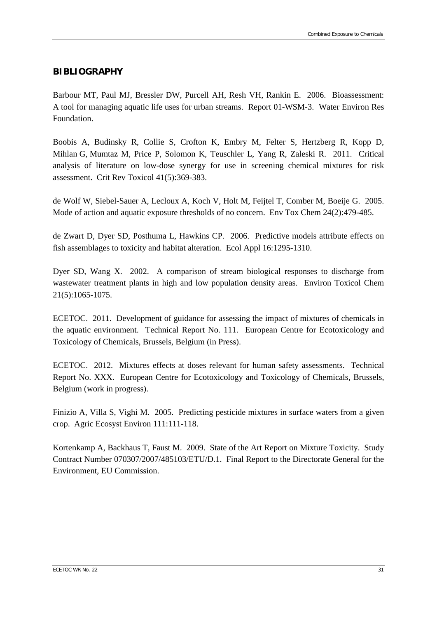#### <span id="page-36-0"></span>**BIBLIOGRAPHY**

Barbour MT, Paul MJ, Bressler DW, Purcell AH, Resh VH, Rankin E. 2006. Bioassessment: A tool for managing aquatic life uses for urban streams. Report 01-WSM-3. Water Environ Res Foundation.

Boobis A, Budinsky R, Collie S, Crofton K, Embry M, Felter S, Hertzberg R, Kopp D, Mihlan G, Mumtaz M, Price P, Solomon K, Teuschler L, Yang R, Zaleski R. 2011. Critical analysis of literature on low-dose synergy for use in screening chemical mixtures for risk assessment. Crit Rev Toxicol 41(5):369-383.

de Wolf W, Siebel-Sauer A, Lecloux A, Koch V, Holt M, Feijtel T, Comber M, Boeije G. 2005. Mode of action and aquatic exposure thresholds of no concern. Env Tox Chem 24(2):479-485.

de Zwart D, Dyer SD, Posthuma L, Hawkins CP. 2006. Predictive models attribute effects on fish assemblages to toxicity and habitat alteration. Ecol Appl 16:1295-1310.

Dyer SD, Wang X. 2002. A comparison of stream biological responses to discharge from wastewater treatment plants in high and low population density areas. Environ Toxicol Chem 21(5):1065-1075.

ECETOC. 2011. Development of guidance for assessing the impact of mixtures of chemicals in the aquatic environment. Technical Report No. 111. European Centre for Ecotoxicology and Toxicology of Chemicals, Brussels, Belgium (in Press).

ECETOC. 2012. Mixtures effects at doses relevant for human safety assessments. Technical Report No. XXX. European Centre for Ecotoxicology and Toxicology of Chemicals, Brussels, Belgium (work in progress).

Finizio A, Villa S, Vighi M. 2005. Predicting pesticide mixtures in surface waters from a given crop. Agric Ecosyst Environ 111:111-118.

Kortenkamp A, Backhaus T, Faust M. 2009. State of the Art Report on Mixture Toxicity. Study Contract Number 070307/2007/485103/ETU/D.1. Final Report to the Directorate General for the Environment, EU Commission.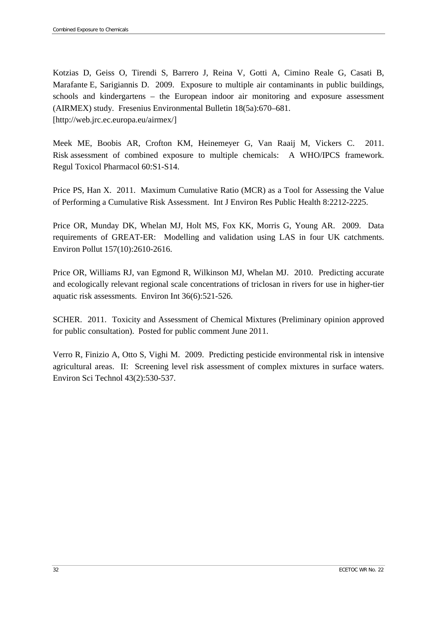Kotzias D, Geiss O, Tirendi S, Barrero J, Reina V, Gotti A, Cimino Reale G, Casati B, Marafante E, Sarigiannis D. 2009. Exposure to multiple air contaminants in public buildings, schools and kindergartens – the European indoor air monitoring and exposure assessment (AIRMEX) study. Fresenius Environmental Bulletin 18(5a):670–681. [\[http://web.jrc.ec.europa.eu/airmex/\]](http://web.jrc.ec.europa.eu/airmex/)

Meek ME, Boobis AR, Crofton KM, Heinemeyer G, Van Raaij M, Vickers C. 2011. Risk assessment of combined exposure to multiple chemicals: A WHO/IPCS framework. Regul Toxicol Pharmacol 60:S1-S14.

Price PS, Han X. 2011. Maximum Cumulative Ratio (MCR) as a Tool for Assessing the Value of Performing a Cumulative Risk Assessment. Int J Environ Res Public Health 8:2212-2225.

Price OR, Munday DK, Whelan MJ, Holt MS, Fox KK, Morris G, Young AR. 2009. Data requirements of GREAT-ER: Modelling and validation using LAS in four UK catchments. Environ Pollut 157(10):2610-2616.

Price OR, Williams RJ, van Egmond R, Wilkinson MJ, Whelan MJ. 2010. Predicting accurate and ecologically relevant regional scale concentrations of triclosan in rivers for use in higher-tier aquatic risk assessments. Environ Int 36(6):521-526.

SCHER. 2011. Toxicity and Assessment of Chemical Mixtures (Preliminary opinion approved for public consultation). Posted for public comment June 2011.

Verro R, Finizio A, Otto S, Vighi M. 2009. Predicting pesticide environmental risk in intensive agricultural areas. II: Screening level risk assessment of complex mixtures in surface waters. Environ Sci Technol 43(2):530-537.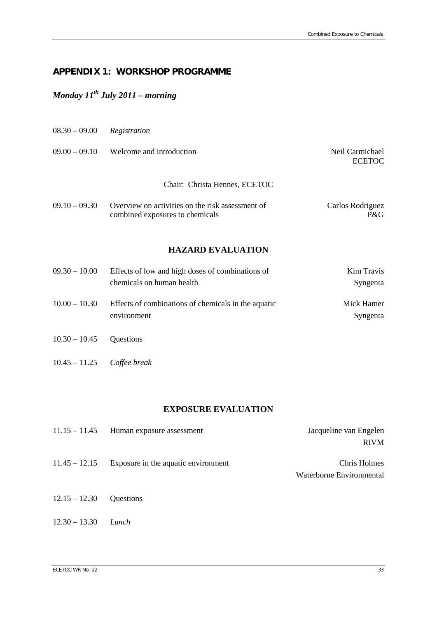# <span id="page-38-0"></span>**APPENDIX 1: WORKSHOP PROGRAMME**

# *Monday 11th July 2011 – morning*

| $08.30 - 09.00$               | Registration                                                                        |                                  |
|-------------------------------|-------------------------------------------------------------------------------------|----------------------------------|
| $09.00 - 09.10$               | Welcome and introduction                                                            | Neil Carmichael<br><b>ECETOC</b> |
| Chair: Christa Hennes, ECETOC |                                                                                     |                                  |
| $09.10 - 09.30$               | Overview on activities on the risk assessment of<br>combined exposures to chemicals | Carlos Rodriguez<br>P&G          |

#### **HAZARD EVALUATION**

| $09.30 - 10.00$ | Effects of low and high doses of combinations of                   | Kim Travis             |
|-----------------|--------------------------------------------------------------------|------------------------|
|                 | chemicals on human health                                          | Syngenta               |
| $10.00 - 10.30$ | Effects of combinations of chemicals in the aquatic<br>environment | Mick Hamer<br>Syngenta |
| $10.30 - 10.45$ | Questions                                                          |                        |

10.45 – 11.25 *Coffee break*

#### **EXPOSURE EVALUATION**

| $11.15 - 11.45$ | Human exposure assessment           | Jacqueline van Engelen   |
|-----------------|-------------------------------------|--------------------------|
|                 |                                     | <b>RIVM</b>              |
| $11.45 - 12.15$ | Exposure in the aquatic environment | Chris Holmes             |
|                 |                                     | Waterborne Environmental |
| $12.15 - 12.30$ | <b>Ouestions</b>                    |                          |
|                 |                                     |                          |
| $12.30 - 13.30$ | Lunch                               |                          |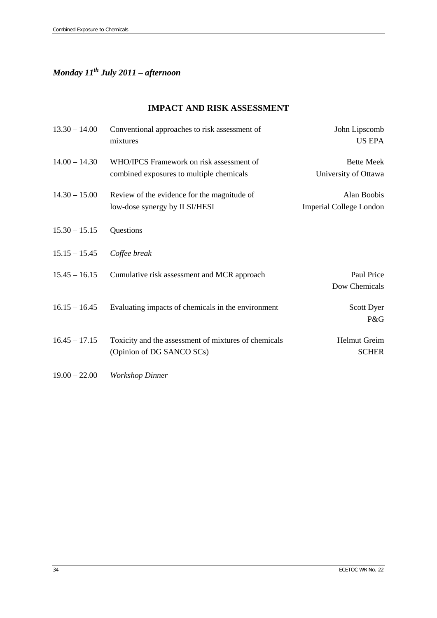# *Monday 11th July 2011 – afternoon*

#### **IMPACT AND RISK ASSESSMENT**

| $13.30 - 14.00$ | Conventional approaches to risk assessment of<br>mixtures                            | John Lipscomb<br><b>US EPA</b>                |
|-----------------|--------------------------------------------------------------------------------------|-----------------------------------------------|
| $14.00 - 14.30$ | WHO/IPCS Framework on risk assessment of<br>combined exposures to multiple chemicals | <b>Bette Meek</b><br>University of Ottawa     |
| $14.30 - 15.00$ | Review of the evidence for the magnitude of<br>low-dose synergy by ILSI/HESI         | Alan Boobis<br><b>Imperial College London</b> |
| $15.30 - 15.15$ | Questions                                                                            |                                               |
| $15.15 - 15.45$ | Coffee break                                                                         |                                               |
| $15.45 - 16.15$ | Cumulative risk assessment and MCR approach                                          | Paul Price<br>Dow Chemicals                   |
| $16.15 - 16.45$ | Evaluating impacts of chemicals in the environment                                   | Scott Dyer<br>P&G                             |
| $16.45 - 17.15$ | Toxicity and the assessment of mixtures of chemicals<br>(Opinion of DG SANCO SCs)    | Helmut Greim<br><b>SCHER</b>                  |
| $19.00 - 22.00$ | <b>Workshop Dinner</b>                                                               |                                               |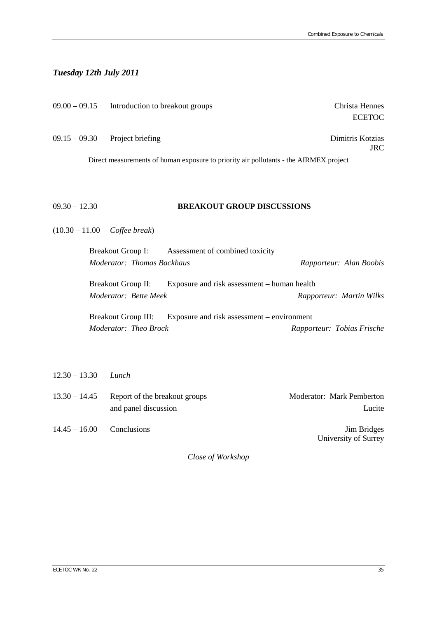# *Tuesday 12th July 2011*

|                   | $09.00 - 09.15$ Introduction to breakout groups                                           | Christa Hennes<br><b>ECETOC</b> |
|-------------------|-------------------------------------------------------------------------------------------|---------------------------------|
| $09.15 - 09.30$   | Project briefing                                                                          | Dimitris Kotzias<br><b>JRC</b>  |
|                   | Direct measurements of human exposure to priority air pollutants - the AIRMEX project     |                                 |
|                   |                                                                                           |                                 |
| $09.30 - 12.30$   | <b>BREAKOUT GROUP DISCUSSIONS</b>                                                         |                                 |
| $(10.30 - 11.00)$ | Coffee break)                                                                             |                                 |
|                   | <b>Breakout Group I:</b><br>Assessment of combined toxicity<br>Moderator: Thomas Backhaus | Rapporteur: Alan Boobis         |
|                   | Exposure and risk assessment - human health<br><b>Breakout Group II:</b>                  |                                 |
|                   | Moderator: Bette Meek                                                                     | Rapporteur: Martin Wilks        |
|                   | <b>Breakout Group III:</b><br>Exposure and risk assessment – environment                  |                                 |
|                   | Moderator: Theo Brock                                                                     | Rapporteur: Tobias Frische      |
|                   |                                                                                           |                                 |
| $12.30 - 13.30$   | Lunch                                                                                     |                                 |

| $13.30 - 14.45$ | Report of the breakout groups | <b>Moderator:</b> Mark Pemberton |
|-----------------|-------------------------------|----------------------------------|
|                 | and panel discussion          | Lucite                           |
| $14.45 - 16.00$ | Conclusions                   | <b>Jim Bridges</b>               |
|                 |                               | University of Surrey             |

*Close of Workshop*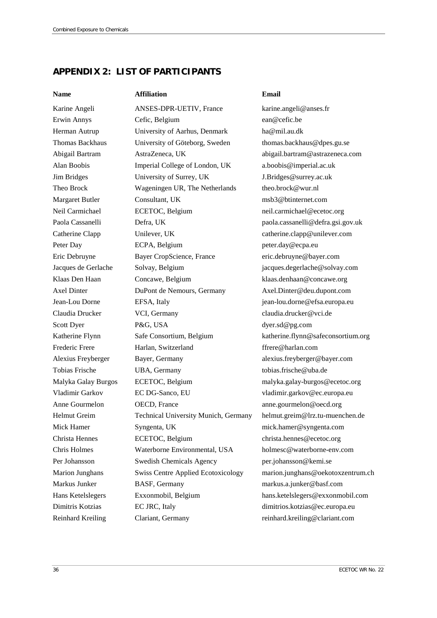# <span id="page-41-0"></span>**APPENDIX 2: LIST OF PARTICIPANTS**

**Name Affiliation Email**

Karine Angeli **ANSES-DPR-UETIV**, France [karine.angeli@anses.fr](mailto:karine.angeli@anses.fr) Erwin Annys Cefic, Belgium [ean@cefic.be](mailto:ean@cefic.be) Herman Autrup University of Aarhus, Denmark [ha@mil.au.dk](mailto:ha@mil.au.dk) Thomas Backhaus University of Göteborg, Sweden thomas.backhaus@dpes.gu.se Abigail Bartram AstraZeneca, UK [abigail.bartram@astrazeneca.com](mailto:abigail.bartram@astrazeneca.com) Alan Boobis Imperial College of London, UK [a.boobis@imperial.ac.uk](mailto:a.boobis@imperial.ac.uk) Jim Bridges University of Surrey, UK [J.Bridges@surrey.ac.uk](mailto:J.Bridges@surrey.ac.uk) Theo Brock Wageningen UR, The Netherlands theo.brock@wur.nl Margaret Butler Consultant, UK [msb3@btinternet.com](mailto:msb3@btinternet.com) Neil Carmichael **ECETOC**, Belgium neil.carmichael@ecetoc.org Paola Cassanelli Defra, UK [paola.cassanelli@defra.gsi.gov.uk](mailto:paola.cassanelli@defra.gsi.gov.uk) Catherine Clapp Unilever, UK [catherine.clapp@unilever.com](mailto:catherine.clapp@unilever.com) Peter Day **ECPA**, Belgium **[peter.day@ecpa.eu](mailto:peter.day@ecpa.eu)** Eric Debruyne Bayer CropScience, France [eric.debruyne@bayer.com](mailto:eric.debruyne@bayer.com) Jacques de Gerlache Solvay, Belgium [jacques.degerlache@solvay.com](mailto:jacques.degerlache@solvay.com) Klaas Den Haan Concawe, Belgium [klaas.denhaan@concawe.org](mailto:klaas.denhaan@concawe.org) Axel Dinter DuPont de Nemours, Germany [Axel.Dinter@deu.dupont.com](mailto:Axel.Dinter@deu.dupont.com) Jean-Lou Dorne EFSA, Italy [jean-lou.dorne@efsa.europa.eu](mailto:jean-lou.dorne@efsa.europa.eu) Claudia Drucker VCI, Germany [claudia.drucker@vci.de](mailto:claudia.drucker@vci.de) Scott Dyer P&G, USA [dyer.sd@pg.com](mailto:dyer.sd@pg.com) Katherine Flynn Safe Consortium, Belgium [katherine.flynn@safeconsortium.org](mailto:katherine.flynn@safeconsortium.org) Frederic Frere Harlan, Switzerland [ffrere@harlan.com](mailto:ffrere@harlan.com) Alexius Freyberger Bayer, Germany [alexius.freyberger@bayer.com](mailto:alexius.freyberger@bayer.com) Tobias Frische UBA, Germany tobias.frische@uba.de Malyka Galay Burgos ECETOC, Belgium [malyka.galay-burgos@ecetoc.org](mailto:malyka.galay-burgos@ecetoc.org) Vladimir Garkov EC DG-Sanco, EU [vladimir.garkov@ec.europa.eu](mailto:vladimir.garkov@ec.europa.eu) Anne Gourmelon **OECD**, France [anne.gourmelon@oecd.org](mailto:anne.gourmelon@oecd.org) Helmut Greim Technical University Munich, Germany [helmut.greim@lrz.tu-muenchen.de](mailto:helmut.greim@lrz.tu-muenchen.de) Mick Hamer Syngenta, UK [mick.hamer@syngenta.com](mailto:mick.hamer@syngenta.com) Christa Hennes ECETOC, Belgium [christa.hennes@ecetoc.org](mailto:christa.hennes@ecetoc.org) Chris Holmes Waterborne Environmental, USA [holmesc@waterborne-env.com](mailto:holmesc@waterborne-env.com) Per Johansson Swedish Chemicals Agency per.johansson@kemi.se Marion Junghans Swiss Centre Applied Ecotoxicology [marion.junghans@oekotoxzentrum.ch](mailto:marion.junghans@oekotoxzentrum.ch) Markus Junker BASF, Germany [markus.a.junker@basf.com](mailto:markus.a.junker@basf.com) Hans Ketelslegers Exxonmobil, Belgium hans.ketelslegers@exxonmobil.com Dimitris Kotzias EC JRC, Italy [dimitrios.kotzias@ec.europa.eu](mailto:dimitrios.kotzias@ec.europa.eu) Reinhard Kreiling Clariant, Germany [reinhard.kreiling@clariant.com](mailto:reinhard.kreiling@clariant.com)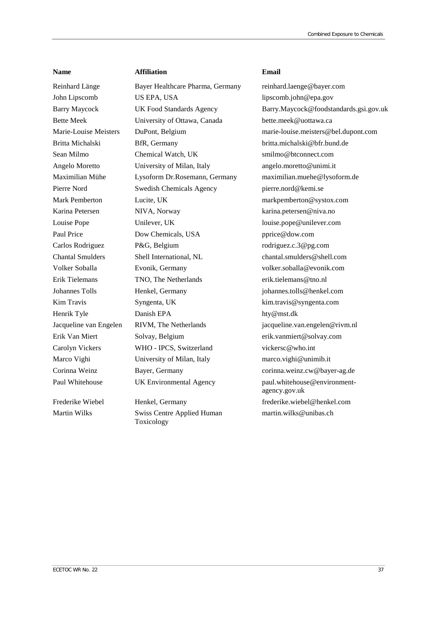#### **Name Affiliation Email**

Reinhard Länge Bayer Healthcare Pharma, Germany [reinhard.laenge@bayer.com](mailto:reinhard.laenge@bayer.com) John Lipscomb US EPA, USA lipscomb.john@epa.gov Bette Meek University of Ottawa, Canada bette.meek@uottawa.ca Britta Michalski BfR, Germany [britta.michalski@bfr.bund.de](mailto:britta.michalski@bfr.bund.de) Sean Milmo Chemical Watch, UK [smilmo@btconnect.com](mailto:smilmo@btconnect.com) Angelo Moretto University of Milan, Italy [angelo.moretto@unimi.it](mailto:angelo.moretto@unimi.it) Pierre Nord Swedish Chemicals Agency [pierre.nord@kemi.se](mailto:pierre.nord@kemi.se) Mark Pemberton Lucite, UK markpemberton@systox.com Karina Petersen MIVA, Norway [karina.petersen@niva.no](mailto:karina.petersen@niva.no) Louise Pope Unilever, UK [louise.pope@unilever.com](mailto:louise.pope@unilever.com) Paul Price **Dow Chemicals, USA** [pprice@dow.com](mailto:pprice@dow.com) Carlos Rodriguez P&G, Belgium rodriguez.c.3@pg.com Chantal Smulders Shell International, NL [chantal.smulders@shell.com](mailto:chantal.smulders@shell.com) Volker Soballa Evonik, Germany [volker.soballa@evonik.com](mailto:volker.soballa@evonik.com) Erik Tielemans TNO, The Netherlands [erik.tielemans@tno.nl](mailto:erik.tielemans@tno.nl) Johannes Tolls Henkel, Germany [johannes.tolls@henkel.com](mailto:johannes.tolls@henkel.com) Kim Travis Syngenta, UK [kim.travis@syngenta.com](mailto:kim.travis@syngenta.com) Henrik Tyle Danish EPA hty@mst.dk Erik Van Miert Solvay, Belgium [erik.vanmiert@solvay.com](mailto:erik.vanmiert@solvay.com) Carolyn Vickers WHO - IPCS, Switzerland vickersc@who.int Marco Vighi Chiversity of Milan, Italy [marco.vighi@unimib.it](mailto:marco.vighi@unimib.it) Corinna Weinz Bayer, Germany corinna.weinz.cw@bayer-ag.de Paul Whitehouse UK Environmental Agency [paul.whitehouse@environment-](mailto:paul.whitehouse@environment-agency.gov.uk)

Martin Wilks Swiss Centre Applied Human Toxicology

Barry Maycock UK Food Standards Agency Barry.Maycock@foodstandards.gsi.gov.uk Marie-Louise Meisters DuPont, Belgium marie-louise.meisters@bel.dupont.com Maximilian Mühe Lysoform Dr.Rosemann, Germany [maximilian.muehe@lysoform.de](mailto:maximilian.muehe@lysoform.de) Jacqueline van Engelen RIVM, The Netherlands jacqueline.van.engelen@rivm.nl [agency.gov.uk](mailto:paul.whitehouse@environment-agency.gov.uk) Frederike Wiebel Henkel, Germany [frederike.wiebel@henkel.com](mailto:frederike.wiebel@henkel.com) martin.wilks@unibas.ch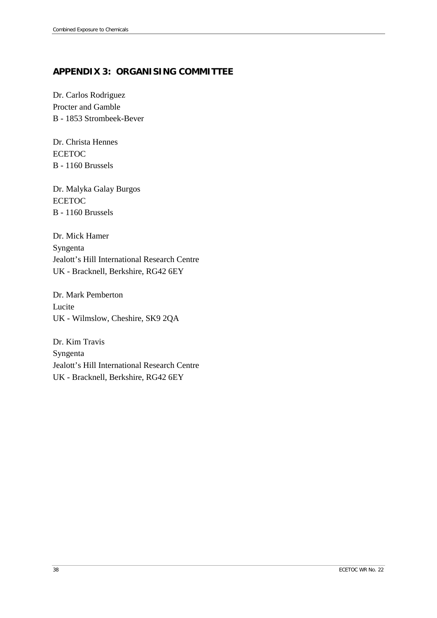# <span id="page-43-0"></span>**APPENDIX 3: ORGANISING COMMITTEE**

Dr. Carlos Rodriguez Procter and Gamble B - 1853 Strombeek-Bever

Dr. Christa Hennes ECETOC B - 1160 Brussels

Dr. Malyka Galay Burgos ECETOC B - 1160 Brussels

Dr. Mick Hamer Syngenta Jealott's Hill International Research Centre UK - Bracknell, Berkshire, RG42 6EY

Dr. Mark Pemberton Lucite UK - Wilmslow, Cheshire, SK9 2QA

Dr. Kim Travis Syngenta Jealott's Hill International Research Centre UK - Bracknell, Berkshire, RG42 6EY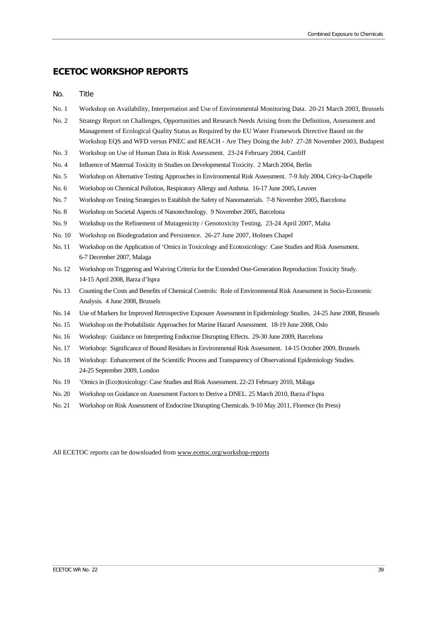## **ECETOC WORKSHOP REPORTS**

#### No. Title

- No. 1 Workshop on Availability, Interpretation and Use of Environmental Monitoring Data. 20-21 March 2003, Brussels
- No. 2 Strategy Report on Challenges, Opportunities and Research Needs Arising from the Definition, Assessment and Management of Ecological Quality Status as Required by the EU Water Framework Directive Based on the Workshop EQS and WFD versus PNEC and REACH - Are They Doing the Job? 27-28 November 2003, Budapest
- No. 3 Workshop on Use of Human Data in Risk Assessment. 23-24 February 2004, Cardiff
- No. 4 Influence of Maternal Toxicity in Studies on Developmental Toxicity. 2 March 2004, Berlin
- No. 5 Workshop on Alternative Testing Approaches in Environmental Risk Assessment. 7-9 July 2004, Crécy-la-Chapelle
- No. 6 Workshop on Chemical Pollution, Respiratory Allergy and Asthma. 16-17 June 2005, Leuven
- No. 7 Workshop on Testing Strategies to Establish the Safety of Nanomaterials. 7-8 November 2005, Barcelona
- No. 8 Workshop on Societal Aspects of Nanotechnology. 9 November 2005, Barcelona
- No. 9 Workshop on the Refinement of Mutagenicity / Genotoxicity Testing. 23-24 April 2007, Malta
- No. 10 Workshop on Biodegradation and Persistence. 26-27 June 2007, Holmes Chapel
- No. 11 Workshop on the Application of 'Omics in Toxicology and Ecotoxicology: Case Studies and Risk Assessment. 6-7 December 2007, Malaga
- No. 12 Workshop on Triggering and Waiving Criteria for the Extended One-Generation Reproduction Toxicity Study. 14-15 April 2008, Barza d'Ispra
- No. 13 Counting the Costs and Benefits of Chemical Controls: Role of Environmental Risk Assessment in Socio-Economic Analysis. 4 June 2008, Brussels
- No. 14 Use of Markers for Improved Retrospective Exposure Assessment in Epidemiology Studies. 24-25 June 2008, Brussels
- No. 15 Workshop on the Probabilistic Approaches for Marine Hazard Assessment. 18-19 June 2008, Oslo
- No. 16 Workshop: Guidance on Interpreting Endocrine Disrupting Effects. 29-30 June 2009, Barcelona
- No. 17 Workshop: Significance of Bound Residues in Environmental Risk Assessment. 14-15 October 2009, Brussels
- No. 18 Workshop: Enhancement of the Scientific Process and Transparency of Observational Epidemiology Studies. 24-25 September 2009, London
- No. 19 'Omics in (Eco)toxicology: Case Studies and Risk Assessment. 22-23 February 2010, Málaga
- No. 20 Workshop on Guidance on Assessment Factors to Derive a DNEL. 25 March 2010, Barza d'Ispra
- No. 21 Workshop on Risk Assessment of Endocrine Disrupting Chemicals. 9-10 May 2011, Florence (In Press)

All ECETOC reports can be downloaded from www.ecetoc.org/workshop-reports